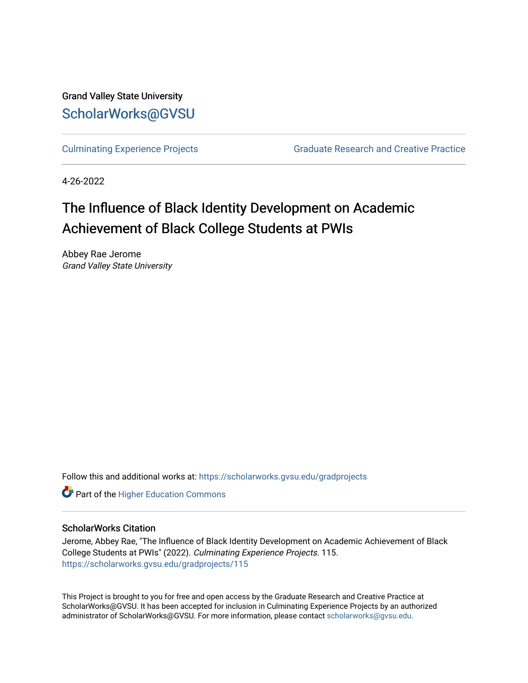Grand Valley State University [ScholarWorks@GVSU](https://scholarworks.gvsu.edu/) 

[Culminating Experience Projects](https://scholarworks.gvsu.edu/gradprojects) [Graduate Research and Creative Practice](https://scholarworks.gvsu.edu/grcp) 

4-26-2022

# The Influence of Black Identity Development on Academic Achievement of Black College Students at PWIs

Abbey Rae Jerome Grand Valley State University

Follow this and additional works at: [https://scholarworks.gvsu.edu/gradprojects](https://scholarworks.gvsu.edu/gradprojects?utm_source=scholarworks.gvsu.edu%2Fgradprojects%2F115&utm_medium=PDF&utm_campaign=PDFCoverPages) 

**Part of the Higher Education Commons** 

#### ScholarWorks Citation

Jerome, Abbey Rae, "The Influence of Black Identity Development on Academic Achievement of Black College Students at PWIs" (2022). Culminating Experience Projects. 115. [https://scholarworks.gvsu.edu/gradprojects/115](https://scholarworks.gvsu.edu/gradprojects/115?utm_source=scholarworks.gvsu.edu%2Fgradprojects%2F115&utm_medium=PDF&utm_campaign=PDFCoverPages) 

This Project is brought to you for free and open access by the Graduate Research and Creative Practice at ScholarWorks@GVSU. It has been accepted for inclusion in Culminating Experience Projects by an authorized administrator of ScholarWorks@GVSU. For more information, please contact [scholarworks@gvsu.edu](mailto:scholarworks@gvsu.edu).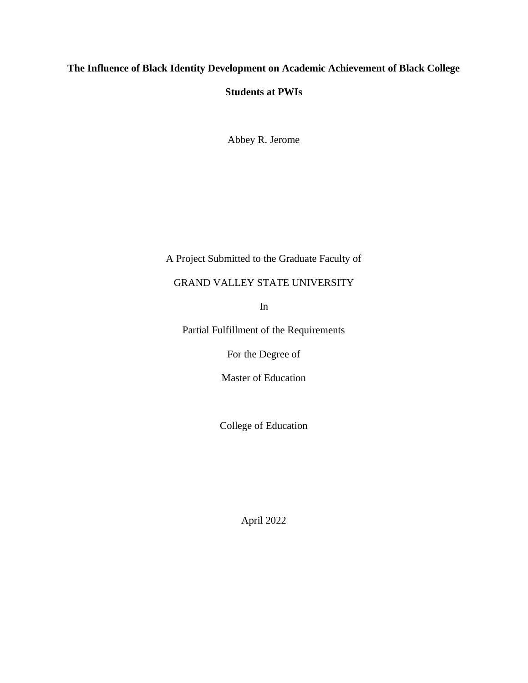# **The Influence of Black Identity Development on Academic Achievement of Black College**

# **Students at PWIs**

Abbey R. Jerome

# A Project Submitted to the Graduate Faculty of

# GRAND VALLEY STATE UNIVERSITY

In

Partial Fulfillment of the Requirements

For the Degree of

Master of Education

College of Education

April 2022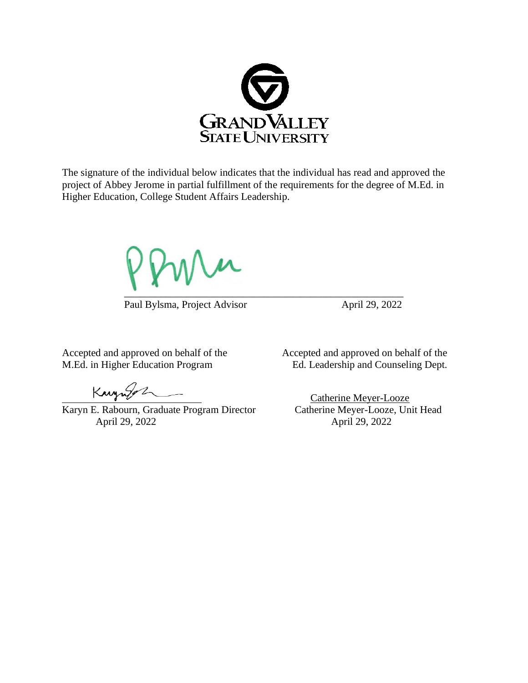

The signature of the individual below indicates that the individual has read and approved the project of Abbey Jerome in partial fulfillment of the requirements for the degree of M.Ed. in Higher Education, College Student Affairs Leadership.

 $\mu$  $\Box$ 

Paul Bylsma, Project Advisor April 29, 2022

Kanzulez

Karyn E. Rabourn, Graduate Program Director April 29, 2022 April 29, 2022

Accepted and approved on behalf of the Accepted and approved on behalf of the M.Ed. in Higher Education Program Ed. Leadership and Counseling Dept.

Catherine Meyer-Looze<br>Catherine Meyer-Looze, Unit Head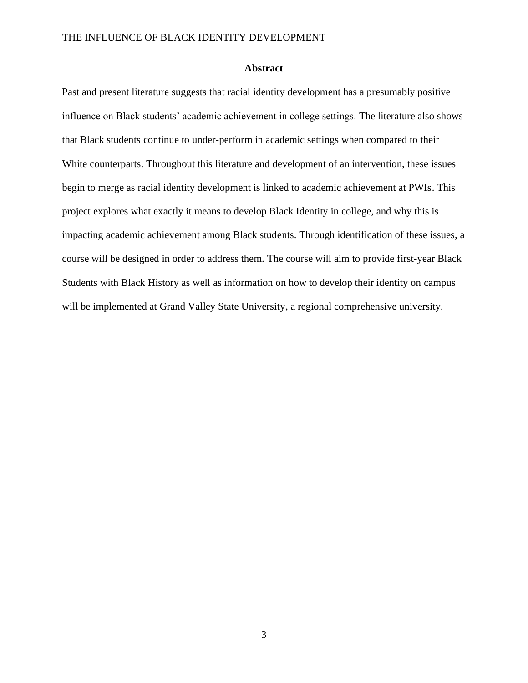#### **Abstract**

<span id="page-3-0"></span>Past and present literature suggests that racial identity development has a presumably positive influence on Black students' academic achievement in college settings. The literature also shows that Black students continue to under-perform in academic settings when compared to their White counterparts. Throughout this literature and development of an intervention, these issues begin to merge as racial identity development is linked to academic achievement at PWIs. This project explores what exactly it means to develop Black Identity in college, and why this is impacting academic achievement among Black students. Through identification of these issues, a course will be designed in order to address them. The course will aim to provide first-year Black Students with Black History as well as information on how to develop their identity on campus will be implemented at Grand Valley State University, a regional comprehensive university.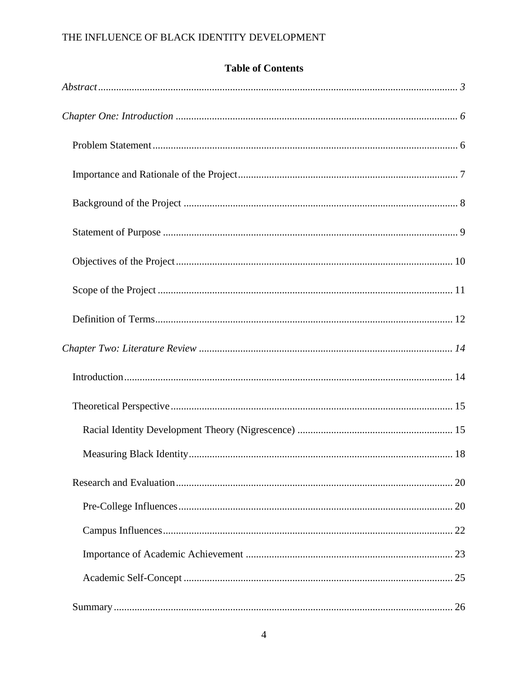| <b>Table of Contents</b> |  |  |
|--------------------------|--|--|
|                          |  |  |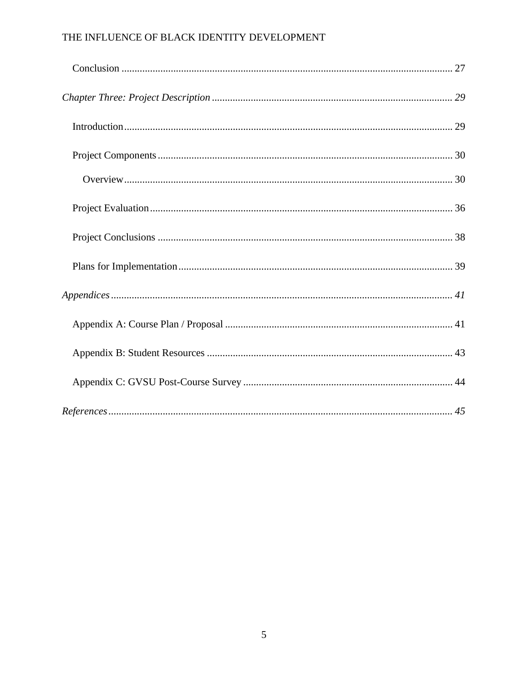<span id="page-5-0"></span>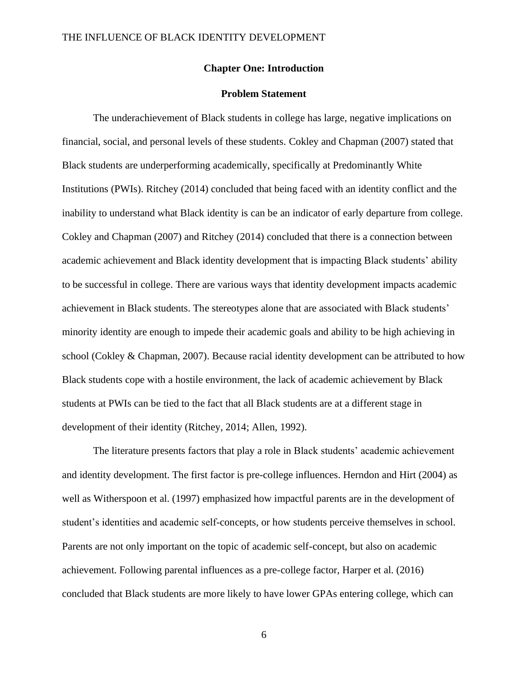#### **Chapter One: Introduction**

#### **Problem Statement**

<span id="page-6-0"></span>The underachievement of Black students in college has large, negative implications on financial, social, and personal levels of these students. Cokley and Chapman (2007) stated that Black students are underperforming academically, specifically at Predominantly White Institutions (PWIs). Ritchey (2014) concluded that being faced with an identity conflict and the inability to understand what Black identity is can be an indicator of early departure from college. Cokley and Chapman (2007) and Ritchey (2014) concluded that there is a connection between academic achievement and Black identity development that is impacting Black students' ability to be successful in college. There are various ways that identity development impacts academic achievement in Black students. The stereotypes alone that are associated with Black students' minority identity are enough to impede their academic goals and ability to be high achieving in school (Cokley & Chapman, 2007). Because racial identity development can be attributed to how Black students cope with a hostile environment, the lack of academic achievement by Black students at PWIs can be tied to the fact that all Black students are at a different stage in development of their identity (Ritchey, 2014; Allen, 1992).

The literature presents factors that play a role in Black students' academic achievement and identity development. The first factor is pre-college influences. Herndon and Hirt (2004) as well as Witherspoon et al. (1997) emphasized how impactful parents are in the development of student's identities and academic self-concepts, or how students perceive themselves in school. Parents are not only important on the topic of academic self-concept, but also on academic achievement. Following parental influences as a pre-college factor, Harper et al. (2016) concluded that Black students are more likely to have lower GPAs entering college, which can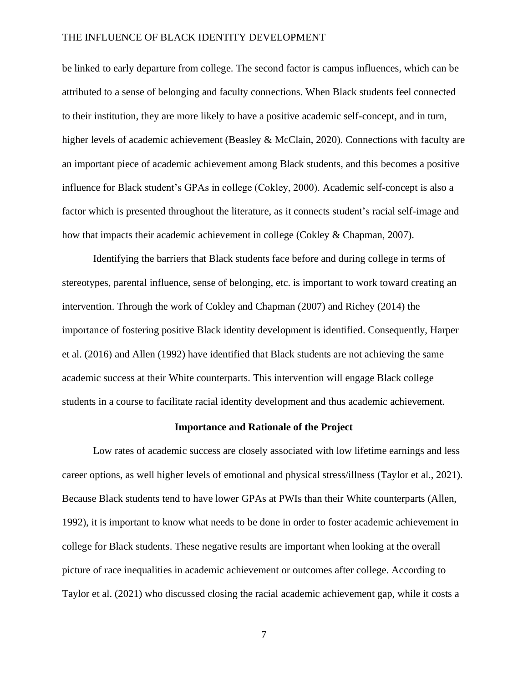be linked to early departure from college. The second factor is campus influences, which can be attributed to a sense of belonging and faculty connections. When Black students feel connected to their institution, they are more likely to have a positive academic self-concept, and in turn, higher levels of academic achievement (Beasley & McClain, 2020). Connections with faculty are an important piece of academic achievement among Black students, and this becomes a positive influence for Black student's GPAs in college (Cokley, 2000). Academic self-concept is also a factor which is presented throughout the literature, as it connects student's racial self-image and how that impacts their academic achievement in college (Cokley & Chapman, 2007).

Identifying the barriers that Black students face before and during college in terms of stereotypes, parental influence, sense of belonging, etc. is important to work toward creating an intervention. Through the work of Cokley and Chapman (2007) and Richey (2014) the importance of fostering positive Black identity development is identified. Consequently, Harper et al. (2016) and Allen (1992) have identified that Black students are not achieving the same academic success at their White counterparts. This intervention will engage Black college students in a course to facilitate racial identity development and thus academic achievement.

#### **Importance and Rationale of the Project**

<span id="page-7-0"></span>Low rates of academic success are closely associated with low lifetime earnings and less career options, as well higher levels of emotional and physical stress/illness (Taylor et al., 2021). Because Black students tend to have lower GPAs at PWIs than their White counterparts (Allen, 1992), it is important to know what needs to be done in order to foster academic achievement in college for Black students. These negative results are important when looking at the overall picture of race inequalities in academic achievement or outcomes after college. According to Taylor et al. (2021) who discussed closing the racial academic achievement gap, while it costs a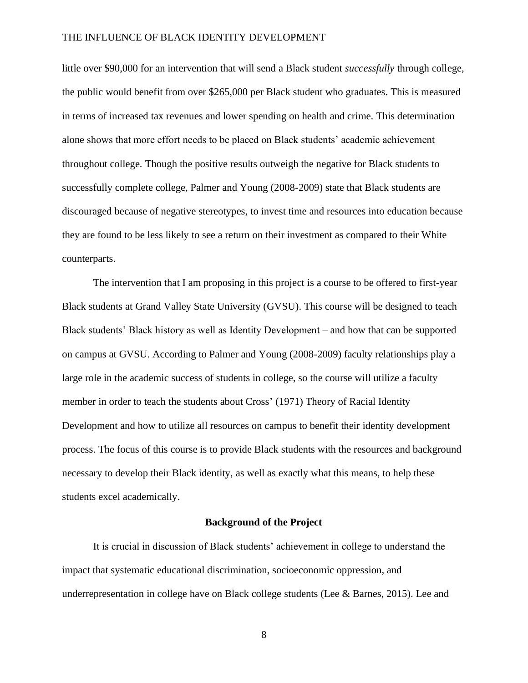little over \$90,000 for an intervention that will send a Black student *successfully* through college, the public would benefit from over \$265,000 per Black student who graduates. This is measured in terms of increased tax revenues and lower spending on health and crime. This determination alone shows that more effort needs to be placed on Black students' academic achievement throughout college. Though the positive results outweigh the negative for Black students to successfully complete college, Palmer and Young (2008-2009) state that Black students are discouraged because of negative stereotypes, to invest time and resources into education because they are found to be less likely to see a return on their investment as compared to their White counterparts.

The intervention that I am proposing in this project is a course to be offered to first-year Black students at Grand Valley State University (GVSU). This course will be designed to teach Black students' Black history as well as Identity Development – and how that can be supported on campus at GVSU. According to Palmer and Young (2008-2009) faculty relationships play a large role in the academic success of students in college, so the course will utilize a faculty member in order to teach the students about Cross' (1971) Theory of Racial Identity Development and how to utilize all resources on campus to benefit their identity development process. The focus of this course is to provide Black students with the resources and background necessary to develop their Black identity, as well as exactly what this means, to help these students excel academically.

#### **Background of the Project**

<span id="page-8-0"></span>It is crucial in discussion of Black students' achievement in college to understand the impact that systematic educational discrimination, socioeconomic oppression, and underrepresentation in college have on Black college students (Lee & Barnes, 2015). Lee and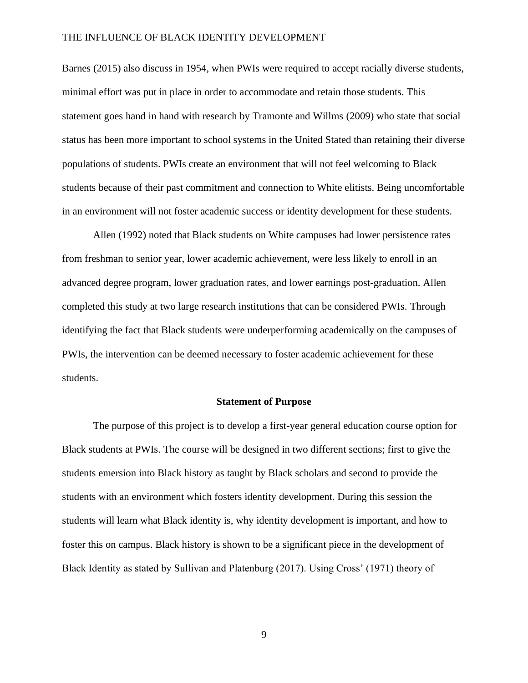Barnes (2015) also discuss in 1954, when PWIs were required to accept racially diverse students, minimal effort was put in place in order to accommodate and retain those students. This statement goes hand in hand with research by Tramonte and Willms (2009) who state that social status has been more important to school systems in the United Stated than retaining their diverse populations of students. PWIs create an environment that will not feel welcoming to Black students because of their past commitment and connection to White elitists. Being uncomfortable in an environment will not foster academic success or identity development for these students.

Allen (1992) noted that Black students on White campuses had lower persistence rates from freshman to senior year, lower academic achievement, were less likely to enroll in an advanced degree program, lower graduation rates, and lower earnings post-graduation. Allen completed this study at two large research institutions that can be considered PWIs. Through identifying the fact that Black students were underperforming academically on the campuses of PWIs, the intervention can be deemed necessary to foster academic achievement for these students.

#### **Statement of Purpose**

<span id="page-9-0"></span>The purpose of this project is to develop a first-year general education course option for Black students at PWIs. The course will be designed in two different sections; first to give the students emersion into Black history as taught by Black scholars and second to provide the students with an environment which fosters identity development. During this session the students will learn what Black identity is, why identity development is important, and how to foster this on campus. Black history is shown to be a significant piece in the development of Black Identity as stated by Sullivan and Platenburg (2017). Using Cross' (1971) theory of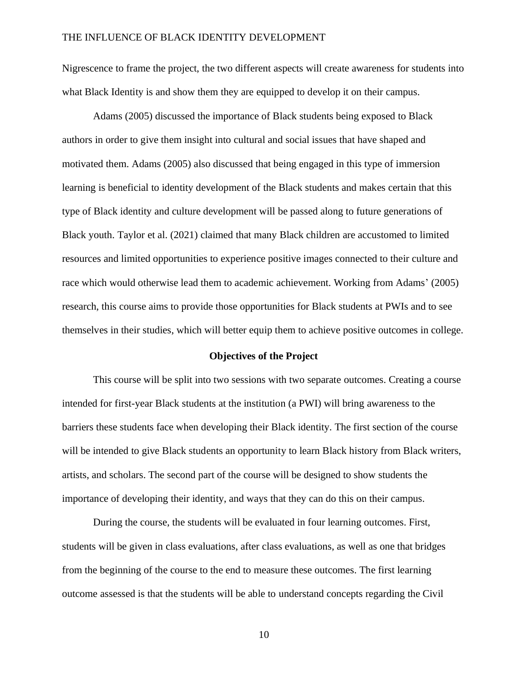Nigrescence to frame the project, the two different aspects will create awareness for students into what Black Identity is and show them they are equipped to develop it on their campus.

Adams (2005) discussed the importance of Black students being exposed to Black authors in order to give them insight into cultural and social issues that have shaped and motivated them. Adams (2005) also discussed that being engaged in this type of immersion learning is beneficial to identity development of the Black students and makes certain that this type of Black identity and culture development will be passed along to future generations of Black youth. Taylor et al. (2021) claimed that many Black children are accustomed to limited resources and limited opportunities to experience positive images connected to their culture and race which would otherwise lead them to academic achievement. Working from Adams' (2005) research, this course aims to provide those opportunities for Black students at PWIs and to see themselves in their studies, which will better equip them to achieve positive outcomes in college.

#### **Objectives of the Project**

<span id="page-10-0"></span>This course will be split into two sessions with two separate outcomes. Creating a course intended for first-year Black students at the institution (a PWI) will bring awareness to the barriers these students face when developing their Black identity. The first section of the course will be intended to give Black students an opportunity to learn Black history from Black writers, artists, and scholars. The second part of the course will be designed to show students the importance of developing their identity, and ways that they can do this on their campus.

During the course, the students will be evaluated in four learning outcomes. First, students will be given in class evaluations, after class evaluations, as well as one that bridges from the beginning of the course to the end to measure these outcomes. The first learning outcome assessed is that the students will be able to understand concepts regarding the Civil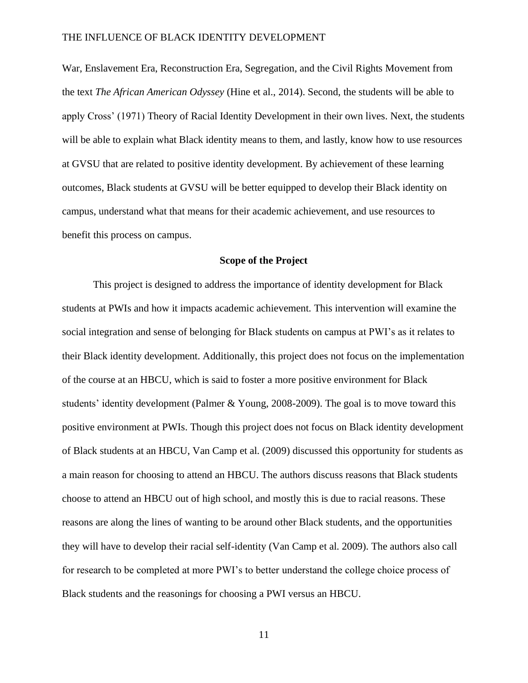War, Enslavement Era, Reconstruction Era, Segregation, and the Civil Rights Movement from the text *The African American Odyssey* (Hine et al., 2014). Second, the students will be able to apply Cross' (1971) Theory of Racial Identity Development in their own lives. Next, the students will be able to explain what Black identity means to them, and lastly, know how to use resources at GVSU that are related to positive identity development. By achievement of these learning outcomes, Black students at GVSU will be better equipped to develop their Black identity on campus, understand what that means for their academic achievement, and use resources to benefit this process on campus.

#### **Scope of the Project**

<span id="page-11-0"></span>This project is designed to address the importance of identity development for Black students at PWIs and how it impacts academic achievement. This intervention will examine the social integration and sense of belonging for Black students on campus at PWI's as it relates to their Black identity development. Additionally, this project does not focus on the implementation of the course at an HBCU, which is said to foster a more positive environment for Black students' identity development (Palmer & Young, 2008-2009). The goal is to move toward this positive environment at PWIs. Though this project does not focus on Black identity development of Black students at an HBCU, Van Camp et al. (2009) discussed this opportunity for students as a main reason for choosing to attend an HBCU. The authors discuss reasons that Black students choose to attend an HBCU out of high school, and mostly this is due to racial reasons. These reasons are along the lines of wanting to be around other Black students, and the opportunities they will have to develop their racial self-identity (Van Camp et al. 2009). The authors also call for research to be completed at more PWI's to better understand the college choice process of Black students and the reasonings for choosing a PWI versus an HBCU.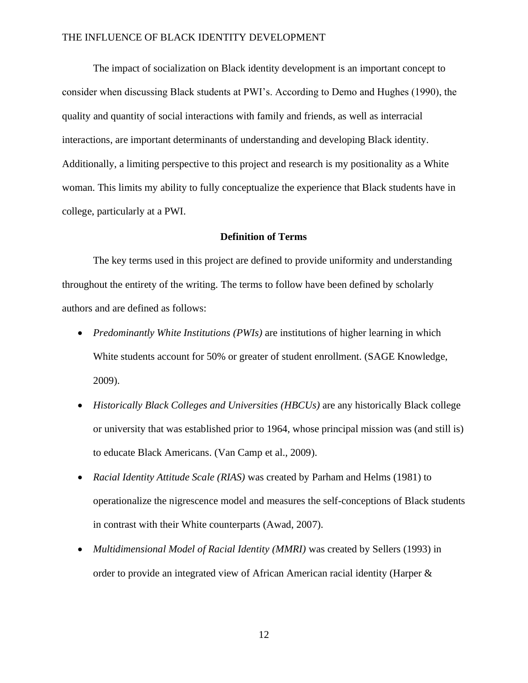The impact of socialization on Black identity development is an important concept to consider when discussing Black students at PWI's. According to Demo and Hughes (1990), the quality and quantity of social interactions with family and friends, as well as interracial interactions, are important determinants of understanding and developing Black identity. Additionally, a limiting perspective to this project and research is my positionality as a White woman. This limits my ability to fully conceptualize the experience that Black students have in college, particularly at a PWI.

#### **Definition of Terms**

<span id="page-12-0"></span>The key terms used in this project are defined to provide uniformity and understanding throughout the entirety of the writing. The terms to follow have been defined by scholarly authors and are defined as follows:

- *Predominantly White Institutions (PWIs)* are institutions of higher learning in which White students account for 50% or greater of student enrollment. (SAGE Knowledge, 2009).
- *Historically Black Colleges and Universities (HBCUs)* are any historically Black college or university that was established prior to 1964, whose principal mission was (and still is) to educate Black Americans. (Van Camp et al., 2009).
- *Racial Identity Attitude Scale (RIAS)* was created by Parham and Helms (1981) to operationalize the nigrescence model and measures the self-conceptions of Black students in contrast with their White counterparts (Awad, 2007).
- *Multidimensional Model of Racial Identity (MMRI)* was created by Sellers (1993) in order to provide an integrated view of African American racial identity (Harper &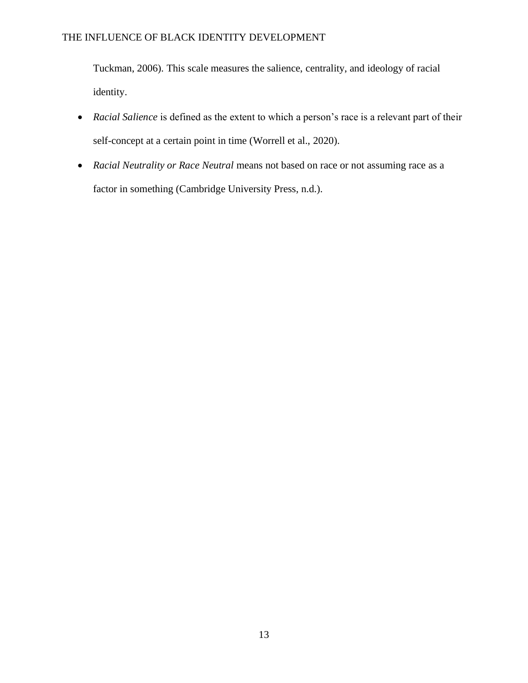Tuckman, 2006). This scale measures the salience, centrality, and ideology of racial identity.

- *Racial Salience* is defined as the extent to which a person's race is a relevant part of their self-concept at a certain point in time (Worrell et al., 2020).
- *Racial Neutrality or Race Neutral* means not based on race or not assuming race as a factor in something (Cambridge University Press, n.d.).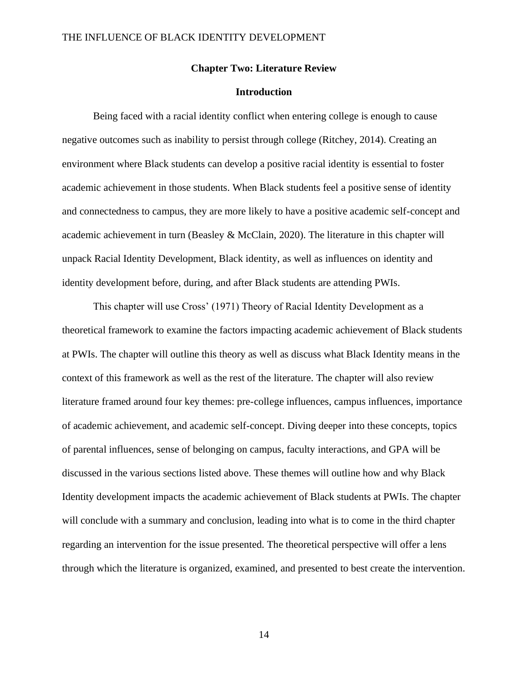#### **Chapter Two: Literature Review**

### **Introduction**

<span id="page-14-1"></span><span id="page-14-0"></span>Being faced with a racial identity conflict when entering college is enough to cause negative outcomes such as inability to persist through college (Ritchey, 2014). Creating an environment where Black students can develop a positive racial identity is essential to foster academic achievement in those students. When Black students feel a positive sense of identity and connectedness to campus, they are more likely to have a positive academic self-concept and academic achievement in turn (Beasley & McClain, 2020). The literature in this chapter will unpack Racial Identity Development, Black identity, as well as influences on identity and identity development before, during, and after Black students are attending PWIs.

This chapter will use Cross' (1971) Theory of Racial Identity Development as a theoretical framework to examine the factors impacting academic achievement of Black students at PWIs. The chapter will outline this theory as well as discuss what Black Identity means in the context of this framework as well as the rest of the literature. The chapter will also review literature framed around four key themes: pre-college influences, campus influences, importance of academic achievement, and academic self-concept. Diving deeper into these concepts, topics of parental influences, sense of belonging on campus, faculty interactions, and GPA will be discussed in the various sections listed above. These themes will outline how and why Black Identity development impacts the academic achievement of Black students at PWIs. The chapter will conclude with a summary and conclusion, leading into what is to come in the third chapter regarding an intervention for the issue presented. The theoretical perspective will offer a lens through which the literature is organized, examined, and presented to best create the intervention.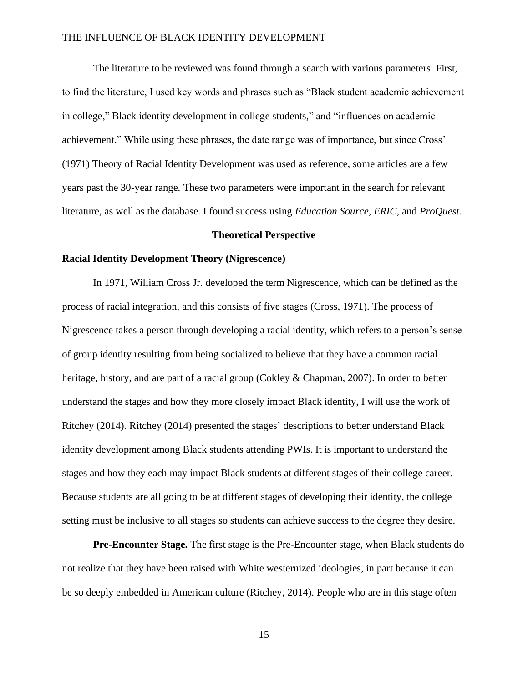The literature to be reviewed was found through a search with various parameters. First, to find the literature, I used key words and phrases such as "Black student academic achievement in college," Black identity development in college students," and "influences on academic achievement." While using these phrases, the date range was of importance, but since Cross' (1971) Theory of Racial Identity Development was used as reference, some articles are a few years past the 30-year range. These two parameters were important in the search for relevant literature, as well as the database. I found success using *Education Source*, *ERIC*, and *ProQuest.*

#### **Theoretical Perspective**

#### <span id="page-15-1"></span><span id="page-15-0"></span>**Racial Identity Development Theory (Nigrescence)**

In 1971, William Cross Jr. developed the term Nigrescence, which can be defined as the process of racial integration, and this consists of five stages (Cross, 1971). The process of Nigrescence takes a person through developing a racial identity, which refers to a person's sense of group identity resulting from being socialized to believe that they have a common racial heritage, history, and are part of a racial group (Cokley & Chapman, 2007). In order to better understand the stages and how they more closely impact Black identity, I will use the work of Ritchey (2014). Ritchey (2014) presented the stages' descriptions to better understand Black identity development among Black students attending PWIs. It is important to understand the stages and how they each may impact Black students at different stages of their college career. Because students are all going to be at different stages of developing their identity, the college setting must be inclusive to all stages so students can achieve success to the degree they desire.

**Pre-Encounter Stage.** The first stage is the Pre-Encounter stage, when Black students do not realize that they have been raised with White westernized ideologies, in part because it can be so deeply embedded in American culture (Ritchey, 2014). People who are in this stage often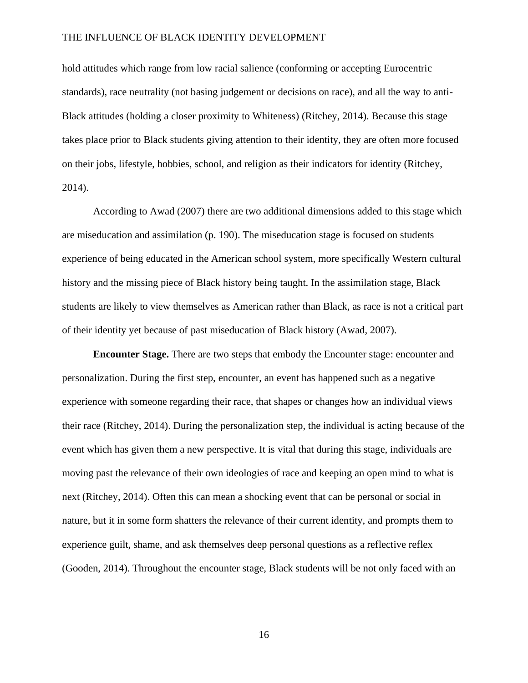hold attitudes which range from low racial salience (conforming or accepting Eurocentric standards), race neutrality (not basing judgement or decisions on race), and all the way to anti-Black attitudes (holding a closer proximity to Whiteness) (Ritchey, 2014). Because this stage takes place prior to Black students giving attention to their identity, they are often more focused on their jobs, lifestyle, hobbies, school, and religion as their indicators for identity (Ritchey, 2014).

According to Awad (2007) there are two additional dimensions added to this stage which are miseducation and assimilation (p. 190). The miseducation stage is focused on students experience of being educated in the American school system, more specifically Western cultural history and the missing piece of Black history being taught. In the assimilation stage, Black students are likely to view themselves as American rather than Black, as race is not a critical part of their identity yet because of past miseducation of Black history (Awad, 2007).

**Encounter Stage.** There are two steps that embody the Encounter stage: encounter and personalization. During the first step, encounter, an event has happened such as a negative experience with someone regarding their race, that shapes or changes how an individual views their race (Ritchey, 2014). During the personalization step, the individual is acting because of the event which has given them a new perspective. It is vital that during this stage, individuals are moving past the relevance of their own ideologies of race and keeping an open mind to what is next (Ritchey, 2014). Often this can mean a shocking event that can be personal or social in nature, but it in some form shatters the relevance of their current identity, and prompts them to experience guilt, shame, and ask themselves deep personal questions as a reflective reflex (Gooden, 2014). Throughout the encounter stage, Black students will be not only faced with an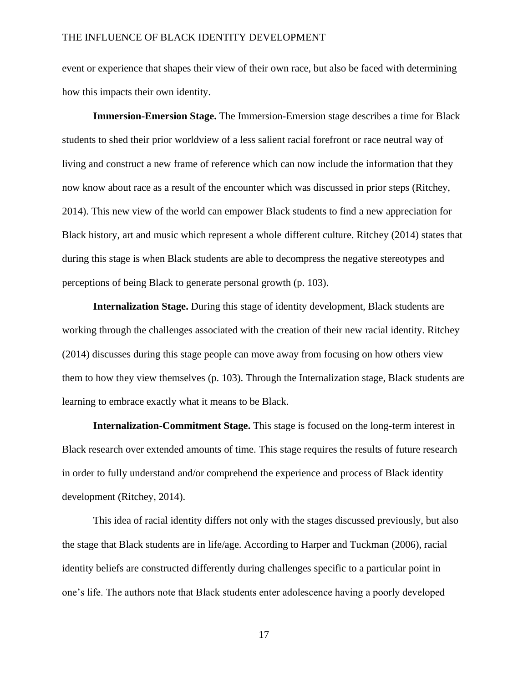event or experience that shapes their view of their own race, but also be faced with determining how this impacts their own identity.

**Immersion-Emersion Stage.** The Immersion-Emersion stage describes a time for Black students to shed their prior worldview of a less salient racial forefront or race neutral way of living and construct a new frame of reference which can now include the information that they now know about race as a result of the encounter which was discussed in prior steps (Ritchey, 2014). This new view of the world can empower Black students to find a new appreciation for Black history, art and music which represent a whole different culture. Ritchey (2014) states that during this stage is when Black students are able to decompress the negative stereotypes and perceptions of being Black to generate personal growth (p. 103).

**Internalization Stage.** During this stage of identity development, Black students are working through the challenges associated with the creation of their new racial identity. Ritchey (2014) discusses during this stage people can move away from focusing on how others view them to how they view themselves (p. 103). Through the Internalization stage, Black students are learning to embrace exactly what it means to be Black.

**Internalization-Commitment Stage.** This stage is focused on the long-term interest in Black research over extended amounts of time. This stage requires the results of future research in order to fully understand and/or comprehend the experience and process of Black identity development (Ritchey, 2014).

This idea of racial identity differs not only with the stages discussed previously, but also the stage that Black students are in life/age. According to Harper and Tuckman (2006), racial identity beliefs are constructed differently during challenges specific to a particular point in one's life. The authors note that Black students enter adolescence having a poorly developed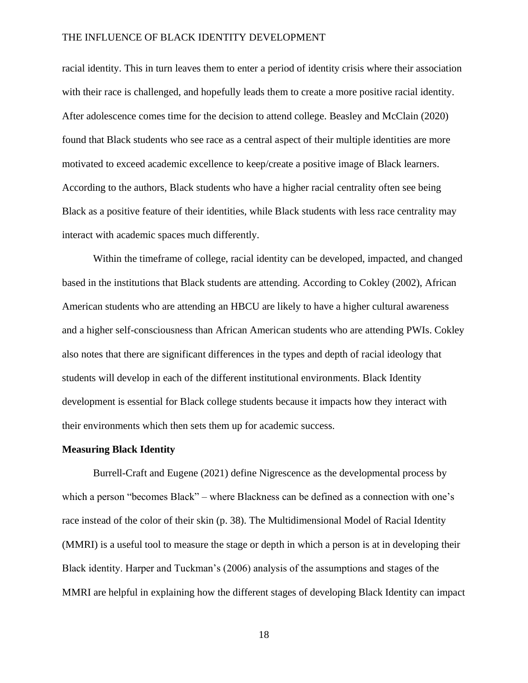racial identity. This in turn leaves them to enter a period of identity crisis where their association with their race is challenged, and hopefully leads them to create a more positive racial identity. After adolescence comes time for the decision to attend college. Beasley and McClain (2020) found that Black students who see race as a central aspect of their multiple identities are more motivated to exceed academic excellence to keep/create a positive image of Black learners. According to the authors, Black students who have a higher racial centrality often see being Black as a positive feature of their identities, while Black students with less race centrality may interact with academic spaces much differently.

Within the timeframe of college, racial identity can be developed, impacted, and changed based in the institutions that Black students are attending. According to Cokley (2002), African American students who are attending an HBCU are likely to have a higher cultural awareness and a higher self-consciousness than African American students who are attending PWIs. Cokley also notes that there are significant differences in the types and depth of racial ideology that students will develop in each of the different institutional environments. Black Identity development is essential for Black college students because it impacts how they interact with their environments which then sets them up for academic success.

#### <span id="page-18-0"></span>**Measuring Black Identity**

Burrell-Craft and Eugene (2021) define Nigrescence as the developmental process by which a person "becomes Black" – where Blackness can be defined as a connection with one's race instead of the color of their skin (p. 38). The Multidimensional Model of Racial Identity (MMRI) is a useful tool to measure the stage or depth in which a person is at in developing their Black identity. Harper and Tuckman's (2006) analysis of the assumptions and stages of the MMRI are helpful in explaining how the different stages of developing Black Identity can impact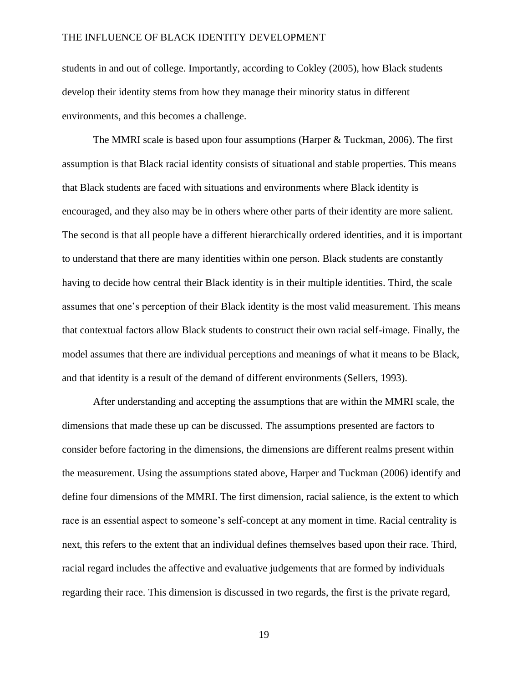students in and out of college. Importantly, according to Cokley (2005), how Black students develop their identity stems from how they manage their minority status in different environments, and this becomes a challenge.

The MMRI scale is based upon four assumptions (Harper & Tuckman, 2006). The first assumption is that Black racial identity consists of situational and stable properties. This means that Black students are faced with situations and environments where Black identity is encouraged, and they also may be in others where other parts of their identity are more salient. The second is that all people have a different hierarchically ordered identities, and it is important to understand that there are many identities within one person. Black students are constantly having to decide how central their Black identity is in their multiple identities. Third, the scale assumes that one's perception of their Black identity is the most valid measurement. This means that contextual factors allow Black students to construct their own racial self-image. Finally, the model assumes that there are individual perceptions and meanings of what it means to be Black, and that identity is a result of the demand of different environments (Sellers, 1993).

After understanding and accepting the assumptions that are within the MMRI scale, the dimensions that made these up can be discussed. The assumptions presented are factors to consider before factoring in the dimensions, the dimensions are different realms present within the measurement. Using the assumptions stated above, Harper and Tuckman (2006) identify and define four dimensions of the MMRI. The first dimension, racial salience, is the extent to which race is an essential aspect to someone's self-concept at any moment in time. Racial centrality is next, this refers to the extent that an individual defines themselves based upon their race. Third, racial regard includes the affective and evaluative judgements that are formed by individuals regarding their race. This dimension is discussed in two regards, the first is the private regard,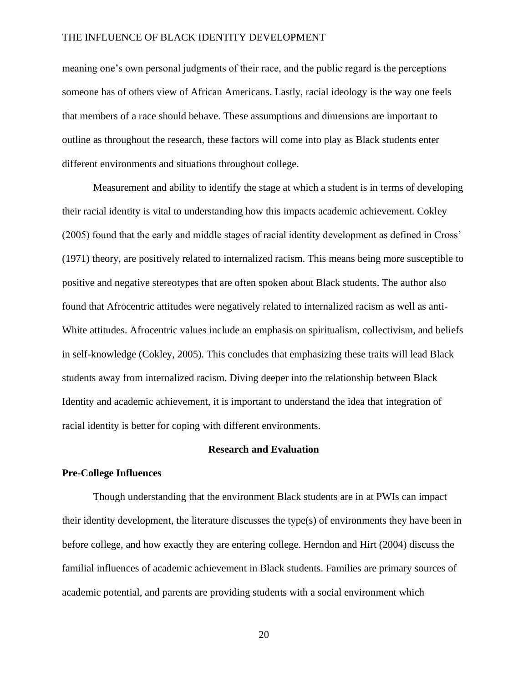meaning one's own personal judgments of their race, and the public regard is the perceptions someone has of others view of African Americans. Lastly, racial ideology is the way one feels that members of a race should behave. These assumptions and dimensions are important to outline as throughout the research, these factors will come into play as Black students enter different environments and situations throughout college.

Measurement and ability to identify the stage at which a student is in terms of developing their racial identity is vital to understanding how this impacts academic achievement. Cokley (2005) found that the early and middle stages of racial identity development as defined in Cross' (1971) theory, are positively related to internalized racism. This means being more susceptible to positive and negative stereotypes that are often spoken about Black students. The author also found that Afrocentric attitudes were negatively related to internalized racism as well as anti-White attitudes. Afrocentric values include an emphasis on spiritualism, collectivism, and beliefs in self-knowledge (Cokley, 2005). This concludes that emphasizing these traits will lead Black students away from internalized racism. Diving deeper into the relationship between Black Identity and academic achievement, it is important to understand the idea that integration of racial identity is better for coping with different environments.

#### **Research and Evaluation**

#### <span id="page-20-1"></span><span id="page-20-0"></span>**Pre-College Influences**

Though understanding that the environment Black students are in at PWIs can impact their identity development, the literature discusses the type(s) of environments they have been in before college, and how exactly they are entering college. Herndon and Hirt (2004) discuss the familial influences of academic achievement in Black students. Families are primary sources of academic potential, and parents are providing students with a social environment which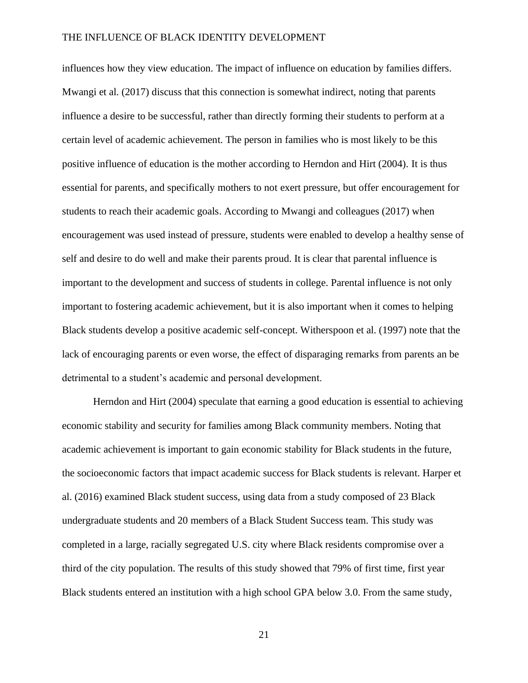influences how they view education. The impact of influence on education by families differs. Mwangi et al. (2017) discuss that this connection is somewhat indirect, noting that parents influence a desire to be successful, rather than directly forming their students to perform at a certain level of academic achievement. The person in families who is most likely to be this positive influence of education is the mother according to Herndon and Hirt (2004). It is thus essential for parents, and specifically mothers to not exert pressure, but offer encouragement for students to reach their academic goals. According to Mwangi and colleagues (2017) when encouragement was used instead of pressure, students were enabled to develop a healthy sense of self and desire to do well and make their parents proud. It is clear that parental influence is important to the development and success of students in college. Parental influence is not only important to fostering academic achievement, but it is also important when it comes to helping Black students develop a positive academic self-concept. Witherspoon et al. (1997) note that the lack of encouraging parents or even worse, the effect of disparaging remarks from parents an be detrimental to a student's academic and personal development.

Herndon and Hirt (2004) speculate that earning a good education is essential to achieving economic stability and security for families among Black community members. Noting that academic achievement is important to gain economic stability for Black students in the future, the socioeconomic factors that impact academic success for Black students is relevant. Harper et al. (2016) examined Black student success, using data from a study composed of 23 Black undergraduate students and 20 members of a Black Student Success team. This study was completed in a large, racially segregated U.S. city where Black residents compromise over a third of the city population. The results of this study showed that 79% of first time, first year Black students entered an institution with a high school GPA below 3.0. From the same study,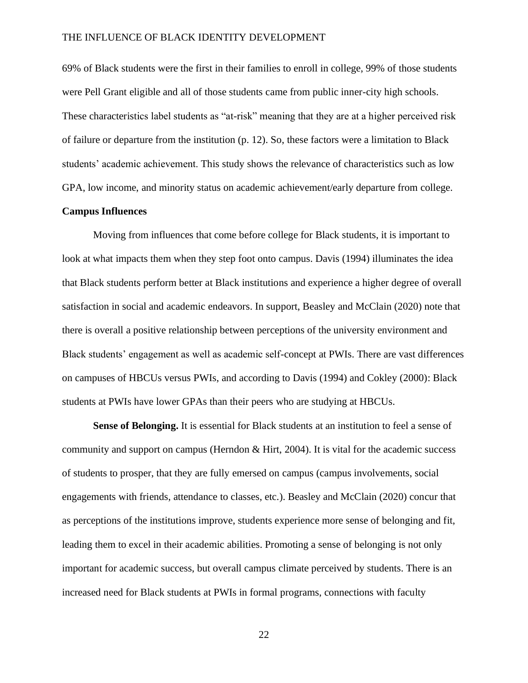69% of Black students were the first in their families to enroll in college, 99% of those students were Pell Grant eligible and all of those students came from public inner-city high schools. These characteristics label students as "at-risk" meaning that they are at a higher perceived risk of failure or departure from the institution (p. 12). So, these factors were a limitation to Black students' academic achievement. This study shows the relevance of characteristics such as low GPA, low income, and minority status on academic achievement/early departure from college.

#### <span id="page-22-0"></span>**Campus Influences**

Moving from influences that come before college for Black students, it is important to look at what impacts them when they step foot onto campus. Davis (1994) illuminates the idea that Black students perform better at Black institutions and experience a higher degree of overall satisfaction in social and academic endeavors. In support, Beasley and McClain (2020) note that there is overall a positive relationship between perceptions of the university environment and Black students' engagement as well as academic self-concept at PWIs. There are vast differences on campuses of HBCUs versus PWIs, and according to Davis (1994) and Cokley (2000): Black students at PWIs have lower GPAs than their peers who are studying at HBCUs.

**Sense of Belonging.** It is essential for Black students at an institution to feel a sense of community and support on campus (Herndon  $\&$  Hirt, 2004). It is vital for the academic success of students to prosper, that they are fully emersed on campus (campus involvements, social engagements with friends, attendance to classes, etc.). Beasley and McClain (2020) concur that as perceptions of the institutions improve, students experience more sense of belonging and fit, leading them to excel in their academic abilities. Promoting a sense of belonging is not only important for academic success, but overall campus climate perceived by students. There is an increased need for Black students at PWIs in formal programs, connections with faculty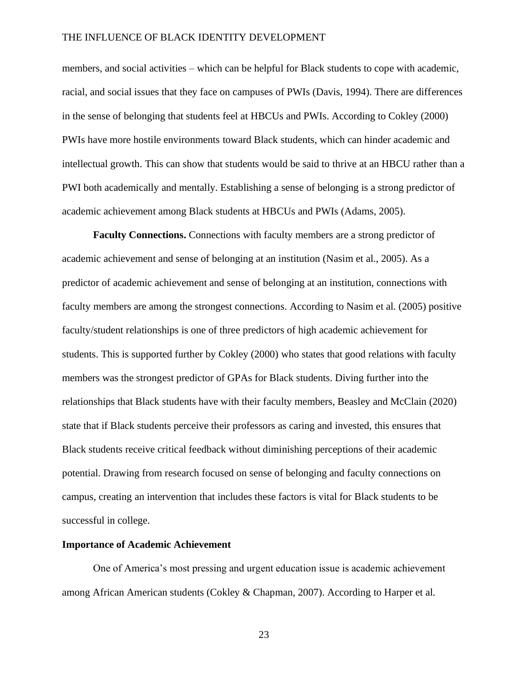members, and social activities – which can be helpful for Black students to cope with academic, racial, and social issues that they face on campuses of PWIs (Davis, 1994). There are differences in the sense of belonging that students feel at HBCUs and PWIs. According to Cokley (2000) PWIs have more hostile environments toward Black students, which can hinder academic and intellectual growth. This can show that students would be said to thrive at an HBCU rather than a PWI both academically and mentally. Establishing a sense of belonging is a strong predictor of academic achievement among Black students at HBCUs and PWIs (Adams, 2005).

**Faculty Connections.** Connections with faculty members are a strong predictor of academic achievement and sense of belonging at an institution (Nasim et al., 2005). As a predictor of academic achievement and sense of belonging at an institution, connections with faculty members are among the strongest connections. According to Nasim et al. (2005) positive faculty/student relationships is one of three predictors of high academic achievement for students. This is supported further by Cokley (2000) who states that good relations with faculty members was the strongest predictor of GPAs for Black students. Diving further into the relationships that Black students have with their faculty members, Beasley and McClain (2020) state that if Black students perceive their professors as caring and invested, this ensures that Black students receive critical feedback without diminishing perceptions of their academic potential. Drawing from research focused on sense of belonging and faculty connections on campus, creating an intervention that includes these factors is vital for Black students to be successful in college.

#### <span id="page-23-0"></span>**Importance of Academic Achievement**

One of America's most pressing and urgent education issue is academic achievement among African American students (Cokley & Chapman, 2007). According to Harper et al.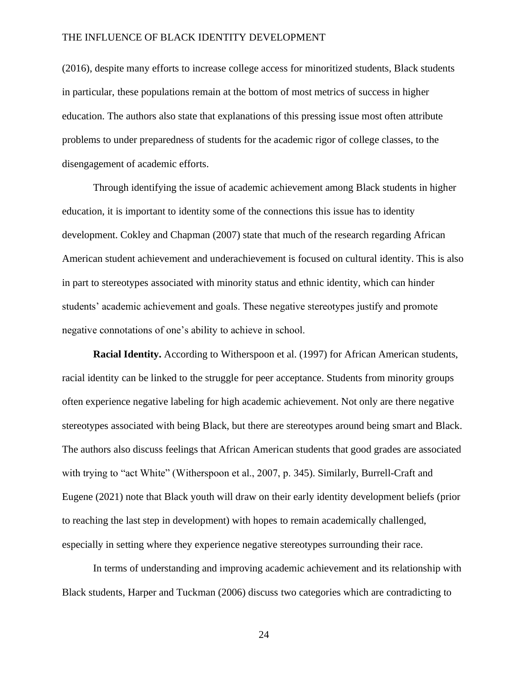(2016), despite many efforts to increase college access for minoritized students, Black students in particular, these populations remain at the bottom of most metrics of success in higher education. The authors also state that explanations of this pressing issue most often attribute problems to under preparedness of students for the academic rigor of college classes, to the disengagement of academic efforts.

Through identifying the issue of academic achievement among Black students in higher education, it is important to identity some of the connections this issue has to identity development. Cokley and Chapman (2007) state that much of the research regarding African American student achievement and underachievement is focused on cultural identity. This is also in part to stereotypes associated with minority status and ethnic identity, which can hinder students' academic achievement and goals. These negative stereotypes justify and promote negative connotations of one's ability to achieve in school.

**Racial Identity.** According to Witherspoon et al. (1997) for African American students, racial identity can be linked to the struggle for peer acceptance. Students from minority groups often experience negative labeling for high academic achievement. Not only are there negative stereotypes associated with being Black, but there are stereotypes around being smart and Black. The authors also discuss feelings that African American students that good grades are associated with trying to "act White" (Witherspoon et al., 2007, p. 345). Similarly, Burrell-Craft and Eugene (2021) note that Black youth will draw on their early identity development beliefs (prior to reaching the last step in development) with hopes to remain academically challenged, especially in setting where they experience negative stereotypes surrounding their race.

In terms of understanding and improving academic achievement and its relationship with Black students, Harper and Tuckman (2006) discuss two categories which are contradicting to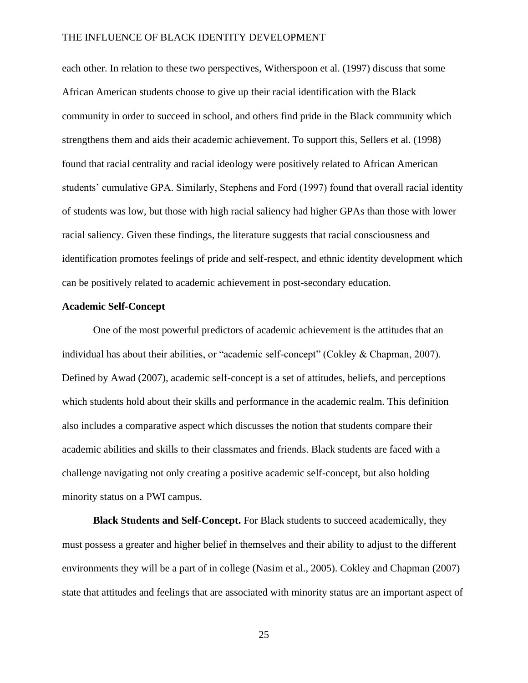each other. In relation to these two perspectives, Witherspoon et al. (1997) discuss that some African American students choose to give up their racial identification with the Black community in order to succeed in school, and others find pride in the Black community which strengthens them and aids their academic achievement. To support this, Sellers et al. (1998) found that racial centrality and racial ideology were positively related to African American students' cumulative GPA. Similarly, Stephens and Ford (1997) found that overall racial identity of students was low, but those with high racial saliency had higher GPAs than those with lower racial saliency. Given these findings, the literature suggests that racial consciousness and identification promotes feelings of pride and self-respect, and ethnic identity development which can be positively related to academic achievement in post-secondary education.

#### <span id="page-25-0"></span>**Academic Self-Concept**

One of the most powerful predictors of academic achievement is the attitudes that an individual has about their abilities, or "academic self-concept" (Cokley & Chapman, 2007). Defined by Awad (2007), academic self-concept is a set of attitudes, beliefs, and perceptions which students hold about their skills and performance in the academic realm. This definition also includes a comparative aspect which discusses the notion that students compare their academic abilities and skills to their classmates and friends. Black students are faced with a challenge navigating not only creating a positive academic self-concept, but also holding minority status on a PWI campus.

**Black Students and Self-Concept.** For Black students to succeed academically, they must possess a greater and higher belief in themselves and their ability to adjust to the different environments they will be a part of in college (Nasim et al., 2005). Cokley and Chapman (2007) state that attitudes and feelings that are associated with minority status are an important aspect of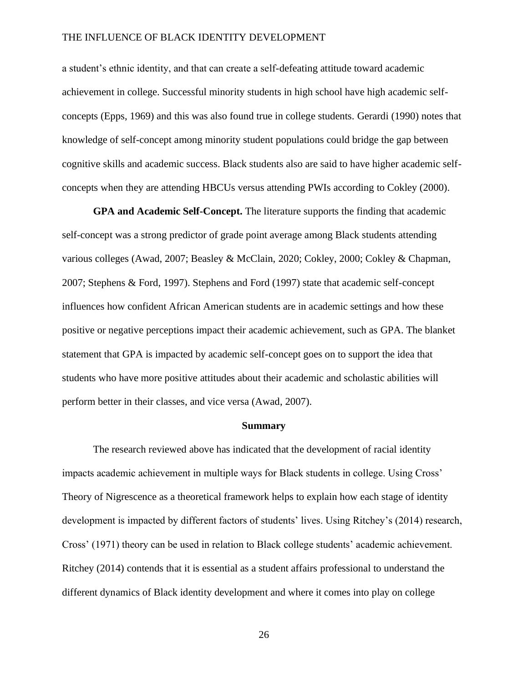a student's ethnic identity, and that can create a self-defeating attitude toward academic achievement in college. Successful minority students in high school have high academic selfconcepts (Epps, 1969) and this was also found true in college students. Gerardi (1990) notes that knowledge of self-concept among minority student populations could bridge the gap between cognitive skills and academic success. Black students also are said to have higher academic selfconcepts when they are attending HBCUs versus attending PWIs according to Cokley (2000).

**GPA and Academic Self-Concept.** The literature supports the finding that academic self-concept was a strong predictor of grade point average among Black students attending various colleges (Awad, 2007; Beasley & McClain, 2020; Cokley, 2000; Cokley & Chapman, 2007; Stephens & Ford, 1997). Stephens and Ford (1997) state that academic self-concept influences how confident African American students are in academic settings and how these positive or negative perceptions impact their academic achievement, such as GPA. The blanket statement that GPA is impacted by academic self-concept goes on to support the idea that students who have more positive attitudes about their academic and scholastic abilities will perform better in their classes, and vice versa (Awad, 2007).

#### **Summary**

<span id="page-26-0"></span>The research reviewed above has indicated that the development of racial identity impacts academic achievement in multiple ways for Black students in college. Using Cross' Theory of Nigrescence as a theoretical framework helps to explain how each stage of identity development is impacted by different factors of students' lives. Using Ritchey's (2014) research, Cross' (1971) theory can be used in relation to Black college students' academic achievement. Ritchey (2014) contends that it is essential as a student affairs professional to understand the different dynamics of Black identity development and where it comes into play on college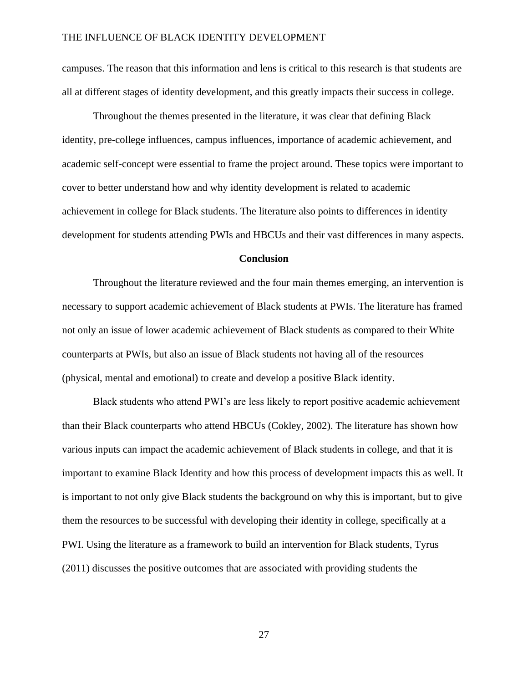campuses. The reason that this information and lens is critical to this research is that students are all at different stages of identity development, and this greatly impacts their success in college.

Throughout the themes presented in the literature, it was clear that defining Black identity, pre-college influences, campus influences, importance of academic achievement, and academic self-concept were essential to frame the project around. These topics were important to cover to better understand how and why identity development is related to academic achievement in college for Black students. The literature also points to differences in identity development for students attending PWIs and HBCUs and their vast differences in many aspects.

#### **Conclusion**

<span id="page-27-0"></span>Throughout the literature reviewed and the four main themes emerging, an intervention is necessary to support academic achievement of Black students at PWIs. The literature has framed not only an issue of lower academic achievement of Black students as compared to their White counterparts at PWIs, but also an issue of Black students not having all of the resources (physical, mental and emotional) to create and develop a positive Black identity.

Black students who attend PWI's are less likely to report positive academic achievement than their Black counterparts who attend HBCUs (Cokley, 2002). The literature has shown how various inputs can impact the academic achievement of Black students in college, and that it is important to examine Black Identity and how this process of development impacts this as well. It is important to not only give Black students the background on why this is important, but to give them the resources to be successful with developing their identity in college, specifically at a PWI. Using the literature as a framework to build an intervention for Black students, Tyrus (2011) discusses the positive outcomes that are associated with providing students the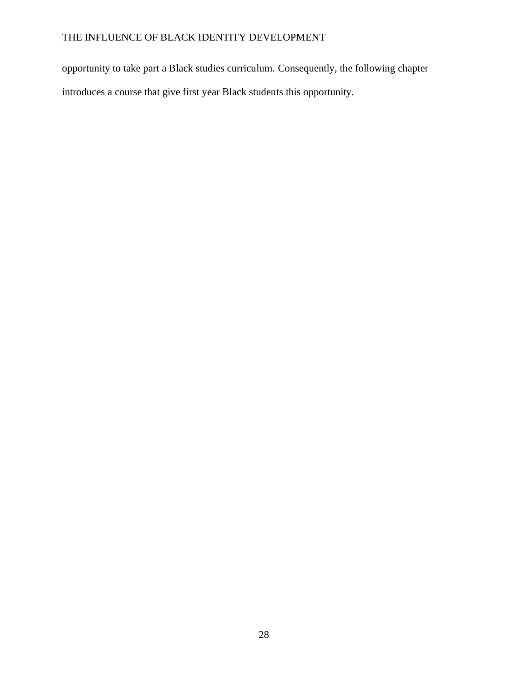opportunity to take part a Black studies curriculum. Consequently, the following chapter introduces a course that give first year Black students this opportunity.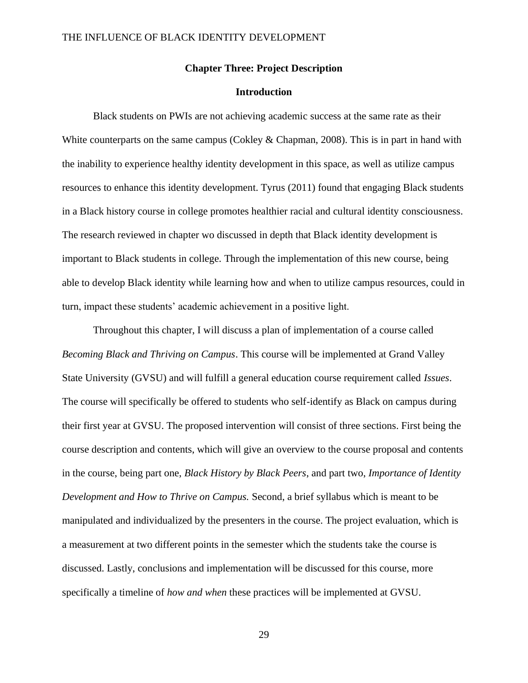#### **Chapter Three: Project Description**

### **Introduction**

<span id="page-29-1"></span><span id="page-29-0"></span>Black students on PWIs are not achieving academic success at the same rate as their White counterparts on the same campus (Cokley & Chapman, 2008). This is in part in hand with the inability to experience healthy identity development in this space, as well as utilize campus resources to enhance this identity development. Tyrus (2011) found that engaging Black students in a Black history course in college promotes healthier racial and cultural identity consciousness. The research reviewed in chapter wo discussed in depth that Black identity development is important to Black students in college. Through the implementation of this new course, being able to develop Black identity while learning how and when to utilize campus resources, could in turn, impact these students' academic achievement in a positive light.

Throughout this chapter, I will discuss a plan of implementation of a course called *Becoming Black and Thriving on Campus*. This course will be implemented at Grand Valley State University (GVSU) and will fulfill a general education course requirement called *Issues*. The course will specifically be offered to students who self-identify as Black on campus during their first year at GVSU. The proposed intervention will consist of three sections. First being the course description and contents, which will give an overview to the course proposal and contents in the course, being part one, *Black History by Black Peers*, and part two, *Importance of Identity Development and How to Thrive on Campus.* Second, a brief syllabus which is meant to be manipulated and individualized by the presenters in the course. The project evaluation, which is a measurement at two different points in the semester which the students take the course is discussed. Lastly, conclusions and implementation will be discussed for this course, more specifically a timeline of *how and when* these practices will be implemented at GVSU.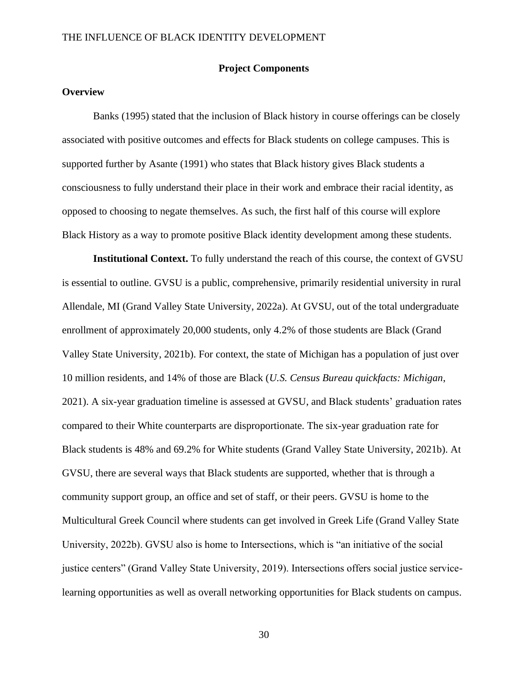#### **Project Components**

### <span id="page-30-1"></span><span id="page-30-0"></span>**Overview**

Banks (1995) stated that the inclusion of Black history in course offerings can be closely associated with positive outcomes and effects for Black students on college campuses. This is supported further by Asante (1991) who states that Black history gives Black students a consciousness to fully understand their place in their work and embrace their racial identity, as opposed to choosing to negate themselves. As such, the first half of this course will explore Black History as a way to promote positive Black identity development among these students.

**Institutional Context.** To fully understand the reach of this course, the context of GVSU is essential to outline. GVSU is a public, comprehensive, primarily residential university in rural Allendale, MI (Grand Valley State University, 2022a). At GVSU, out of the total undergraduate enrollment of approximately 20,000 students, only 4.2% of those students are Black (Grand Valley State University, 2021b). For context, the state of Michigan has a population of just over 10 million residents, and 14% of those are Black (*U.S. Census Bureau quickfacts: Michigan*, 2021). A six-year graduation timeline is assessed at GVSU, and Black students' graduation rates compared to their White counterparts are disproportionate. The six-year graduation rate for Black students is 48% and 69.2% for White students (Grand Valley State University, 2021b). At GVSU, there are several ways that Black students are supported, whether that is through a community support group, an office and set of staff, or their peers. GVSU is home to the Multicultural Greek Council where students can get involved in Greek Life (Grand Valley State University, 2022b). GVSU also is home to Intersections, which is "an initiative of the social justice centers" (Grand Valley State University, 2019). Intersections offers social justice servicelearning opportunities as well as overall networking opportunities for Black students on campus.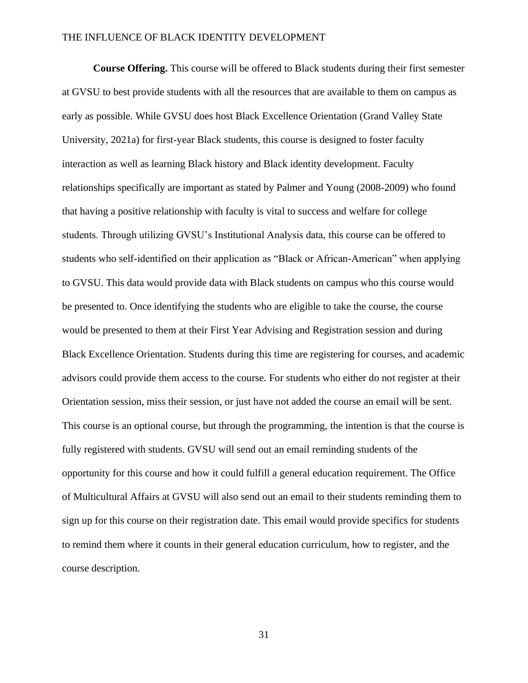**Course Offering.** This course will be offered to Black students during their first semester at GVSU to best provide students with all the resources that are available to them on campus as early as possible. While GVSU does host Black Excellence Orientation (Grand Valley State University, 2021a) for first-year Black students, this course is designed to foster faculty interaction as well as learning Black history and Black identity development. Faculty relationships specifically are important as stated by Palmer and Young (2008-2009) who found that having a positive relationship with faculty is vital to success and welfare for college students. Through utilizing GVSU's Institutional Analysis data, this course can be offered to students who self-identified on their application as "Black or African-American" when applying to GVSU. This data would provide data with Black students on campus who this course would be presented to. Once identifying the students who are eligible to take the course, the course would be presented to them at their First Year Advising and Registration session and during Black Excellence Orientation. Students during this time are registering for courses, and academic advisors could provide them access to the course. For students who either do not register at their Orientation session, miss their session, or just have not added the course an email will be sent. This course is an optional course, but through the programming, the intention is that the course is fully registered with students. GVSU will send out an email reminding students of the opportunity for this course and how it could fulfill a general education requirement. The Office of Multicultural Affairs at GVSU will also send out an email to their students reminding them to sign up for this course on their registration date. This email would provide specifics for students to remind them where it counts in their general education curriculum, how to register, and the course description.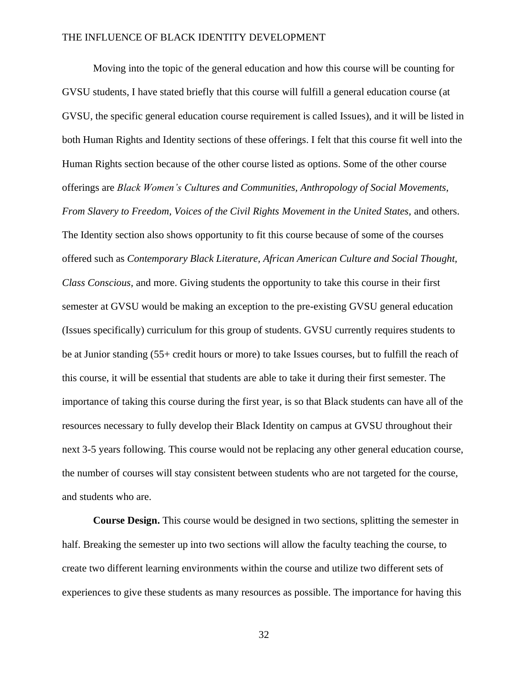Moving into the topic of the general education and how this course will be counting for GVSU students, I have stated briefly that this course will fulfill a general education course (at GVSU, the specific general education course requirement is called Issues), and it will be listed in both Human Rights and Identity sections of these offerings. I felt that this course fit well into the Human Rights section because of the other course listed as options. Some of the other course offerings are *Black Women's Cultures and Communities, Anthropology of Social Movements, From Slavery to Freedom, Voices of the Civil Rights Movement in the United States,* and others. The Identity section also shows opportunity to fit this course because of some of the courses offered such as *Contemporary Black Literature, African American Culture and Social Thought, Class Conscious,* and more. Giving students the opportunity to take this course in their first semester at GVSU would be making an exception to the pre-existing GVSU general education (Issues specifically) curriculum for this group of students. GVSU currently requires students to be at Junior standing (55+ credit hours or more) to take Issues courses, but to fulfill the reach of this course, it will be essential that students are able to take it during their first semester. The importance of taking this course during the first year, is so that Black students can have all of the resources necessary to fully develop their Black Identity on campus at GVSU throughout their next 3-5 years following. This course would not be replacing any other general education course, the number of courses will stay consistent between students who are not targeted for the course, and students who are.

**Course Design.** This course would be designed in two sections, splitting the semester in half. Breaking the semester up into two sections will allow the faculty teaching the course, to create two different learning environments within the course and utilize two different sets of experiences to give these students as many resources as possible. The importance for having this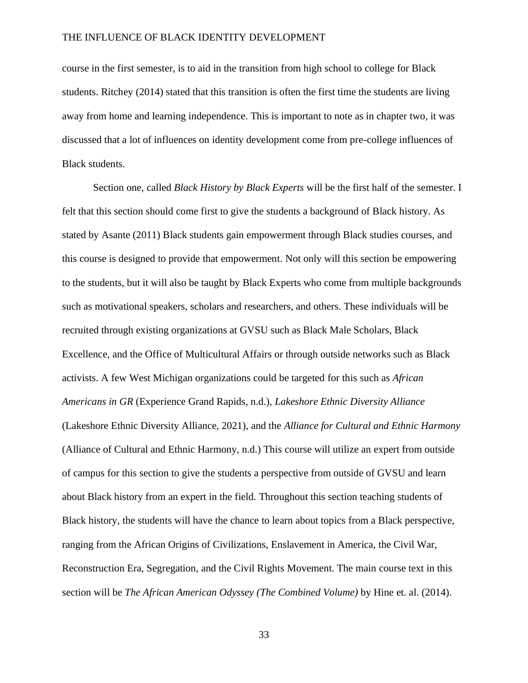course in the first semester, is to aid in the transition from high school to college for Black students. Ritchey (2014) stated that this transition is often the first time the students are living away from home and learning independence. This is important to note as in chapter two, it was discussed that a lot of influences on identity development come from pre-college influences of Black students.

Section one, called *Black History by Black Experts* will be the first half of the semester. I felt that this section should come first to give the students a background of Black history. As stated by Asante (2011) Black students gain empowerment through Black studies courses, and this course is designed to provide that empowerment. Not only will this section be empowering to the students, but it will also be taught by Black Experts who come from multiple backgrounds such as motivational speakers, scholars and researchers, and others. These individuals will be recruited through existing organizations at GVSU such as Black Male Scholars, Black Excellence, and the Office of Multicultural Affairs or through outside networks such as Black activists. A few West Michigan organizations could be targeted for this such as *African Americans in GR* (Experience Grand Rapids, n.d.), *Lakeshore Ethnic Diversity Alliance* (Lakeshore Ethnic Diversity Alliance, 2021), and the *Alliance for Cultural and Ethnic Harmony* (Alliance of Cultural and Ethnic Harmony, n.d.) This course will utilize an expert from outside of campus for this section to give the students a perspective from outside of GVSU and learn about Black history from an expert in the field. Throughout this section teaching students of Black history, the students will have the chance to learn about topics from a Black perspective, ranging from the African Origins of Civilizations, Enslavement in America, the Civil War, Reconstruction Era, Segregation, and the Civil Rights Movement. The main course text in this section will be *The African American Odyssey (The Combined Volume)* by Hine et. al. (2014).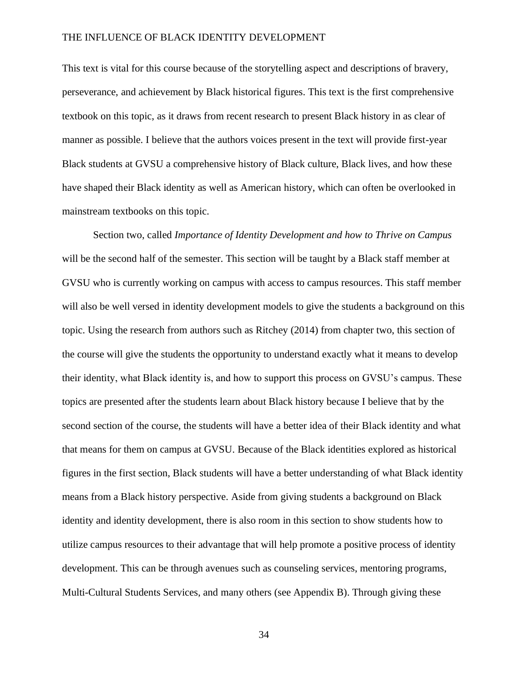This text is vital for this course because of the storytelling aspect and descriptions of bravery, perseverance, and achievement by Black historical figures. This text is the first comprehensive textbook on this topic, as it draws from recent research to present Black history in as clear of manner as possible. I believe that the authors voices present in the text will provide first-year Black students at GVSU a comprehensive history of Black culture, Black lives, and how these have shaped their Black identity as well as American history, which can often be overlooked in mainstream textbooks on this topic.

Section two, called *Importance of Identity Development and how to Thrive on Campus* will be the second half of the semester. This section will be taught by a Black staff member at GVSU who is currently working on campus with access to campus resources. This staff member will also be well versed in identity development models to give the students a background on this topic. Using the research from authors such as Ritchey (2014) from chapter two, this section of the course will give the students the opportunity to understand exactly what it means to develop their identity, what Black identity is, and how to support this process on GVSU's campus. These topics are presented after the students learn about Black history because I believe that by the second section of the course, the students will have a better idea of their Black identity and what that means for them on campus at GVSU. Because of the Black identities explored as historical figures in the first section, Black students will have a better understanding of what Black identity means from a Black history perspective. Aside from giving students a background on Black identity and identity development, there is also room in this section to show students how to utilize campus resources to their advantage that will help promote a positive process of identity development. This can be through avenues such as counseling services, mentoring programs, Multi-Cultural Students Services, and many others (see Appendix B). Through giving these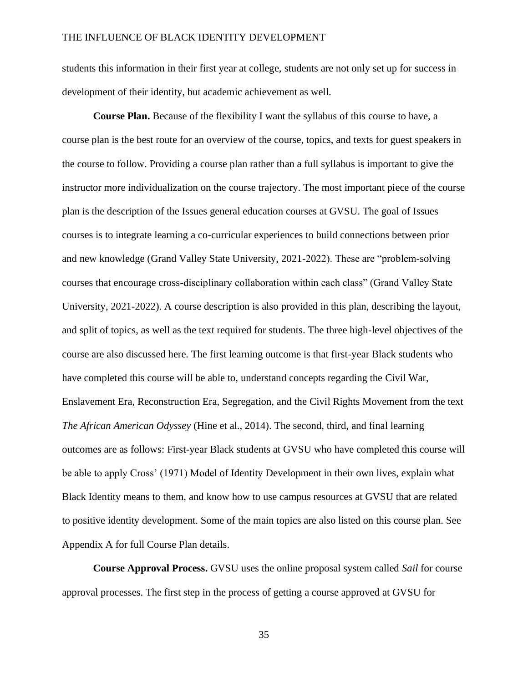students this information in their first year at college, students are not only set up for success in development of their identity, but academic achievement as well.

**Course Plan.** Because of the flexibility I want the syllabus of this course to have, a course plan is the best route for an overview of the course, topics, and texts for guest speakers in the course to follow. Providing a course plan rather than a full syllabus is important to give the instructor more individualization on the course trajectory. The most important piece of the course plan is the description of the Issues general education courses at GVSU. The goal of Issues courses is to integrate learning a co-curricular experiences to build connections between prior and new knowledge (Grand Valley State University, 2021-2022). These are "problem-solving courses that encourage cross-disciplinary collaboration within each class" (Grand Valley State University, 2021-2022). A course description is also provided in this plan, describing the layout, and split of topics, as well as the text required for students. The three high-level objectives of the course are also discussed here. The first learning outcome is that first-year Black students who have completed this course will be able to, understand concepts regarding the Civil War, Enslavement Era, Reconstruction Era, Segregation, and the Civil Rights Movement from the text *The African American Odyssey* (Hine et al., 2014). The second, third, and final learning outcomes are as follows: First-year Black students at GVSU who have completed this course will be able to apply Cross' (1971) Model of Identity Development in their own lives, explain what Black Identity means to them, and know how to use campus resources at GVSU that are related to positive identity development. Some of the main topics are also listed on this course plan. See Appendix A for full Course Plan details.

**Course Approval Process.** GVSU uses the online proposal system called *Sail* for course approval processes. The first step in the process of getting a course approved at GVSU for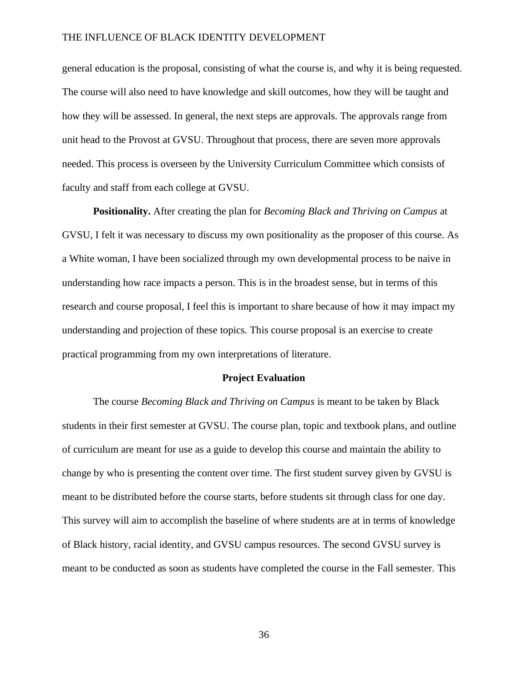general education is the proposal, consisting of what the course is, and why it is being requested. The course will also need to have knowledge and skill outcomes, how they will be taught and how they will be assessed. In general, the next steps are approvals. The approvals range from unit head to the Provost at GVSU. Throughout that process, there are seven more approvals needed. This process is overseen by the University Curriculum Committee which consists of faculty and staff from each college at GVSU.

**Positionality.** After creating the plan for *Becoming Black and Thriving on Campus* at GVSU, I felt it was necessary to discuss my own positionality as the proposer of this course. As a White woman, I have been socialized through my own developmental process to be naive in understanding how race impacts a person. This is in the broadest sense, but in terms of this research and course proposal, I feel this is important to share because of how it may impact my understanding and projection of these topics. This course proposal is an exercise to create practical programming from my own interpretations of literature.

#### **Project Evaluation**

<span id="page-36-0"></span>The course *Becoming Black and Thriving on Campus* is meant to be taken by Black students in their first semester at GVSU. The course plan, topic and textbook plans, and outline of curriculum are meant for use as a guide to develop this course and maintain the ability to change by who is presenting the content over time. The first student survey given by GVSU is meant to be distributed before the course starts, before students sit through class for one day. This survey will aim to accomplish the baseline of where students are at in terms of knowledge of Black history, racial identity, and GVSU campus resources. The second GVSU survey is meant to be conducted as soon as students have completed the course in the Fall semester. This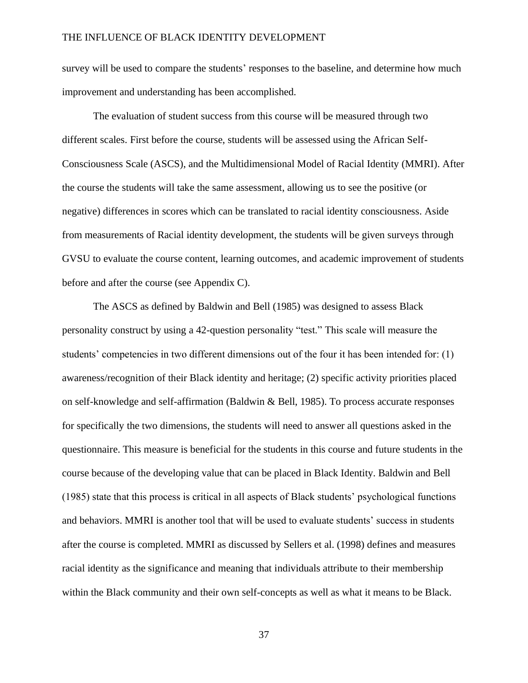survey will be used to compare the students' responses to the baseline, and determine how much improvement and understanding has been accomplished.

The evaluation of student success from this course will be measured through two different scales. First before the course, students will be assessed using the African Self-Consciousness Scale (ASCS), and the Multidimensional Model of Racial Identity (MMRI). After the course the students will take the same assessment, allowing us to see the positive (or negative) differences in scores which can be translated to racial identity consciousness. Aside from measurements of Racial identity development, the students will be given surveys through GVSU to evaluate the course content, learning outcomes, and academic improvement of students before and after the course (see Appendix C).

The ASCS as defined by Baldwin and Bell (1985) was designed to assess Black personality construct by using a 42-question personality "test." This scale will measure the students' competencies in two different dimensions out of the four it has been intended for: (1) awareness/recognition of their Black identity and heritage; (2) specific activity priorities placed on self-knowledge and self-affirmation (Baldwin & Bell, 1985). To process accurate responses for specifically the two dimensions, the students will need to answer all questions asked in the questionnaire. This measure is beneficial for the students in this course and future students in the course because of the developing value that can be placed in Black Identity. Baldwin and Bell (1985) state that this process is critical in all aspects of Black students' psychological functions and behaviors. MMRI is another tool that will be used to evaluate students' success in students after the course is completed. MMRI as discussed by Sellers et al. (1998) defines and measures racial identity as the significance and meaning that individuals attribute to their membership within the Black community and their own self-concepts as well as what it means to be Black.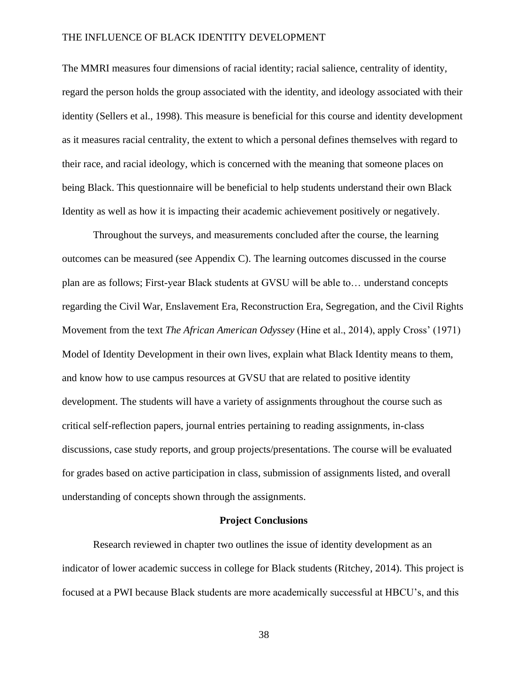The MMRI measures four dimensions of racial identity; racial salience, centrality of identity, regard the person holds the group associated with the identity, and ideology associated with their identity (Sellers et al., 1998). This measure is beneficial for this course and identity development as it measures racial centrality, the extent to which a personal defines themselves with regard to their race, and racial ideology, which is concerned with the meaning that someone places on being Black. This questionnaire will be beneficial to help students understand their own Black Identity as well as how it is impacting their academic achievement positively or negatively.

Throughout the surveys, and measurements concluded after the course, the learning outcomes can be measured (see Appendix C). The learning outcomes discussed in the course plan are as follows; First-year Black students at GVSU will be able to… understand concepts regarding the Civil War, Enslavement Era, Reconstruction Era, Segregation, and the Civil Rights Movement from the text *The African American Odyssey* (Hine et al., 2014), apply Cross' (1971) Model of Identity Development in their own lives, explain what Black Identity means to them, and know how to use campus resources at GVSU that are related to positive identity development. The students will have a variety of assignments throughout the course such as critical self-reflection papers, journal entries pertaining to reading assignments, in-class discussions, case study reports, and group projects/presentations. The course will be evaluated for grades based on active participation in class, submission of assignments listed, and overall understanding of concepts shown through the assignments.

#### **Project Conclusions**

<span id="page-38-0"></span>Research reviewed in chapter two outlines the issue of identity development as an indicator of lower academic success in college for Black students (Ritchey, 2014). This project is focused at a PWI because Black students are more academically successful at HBCU's, and this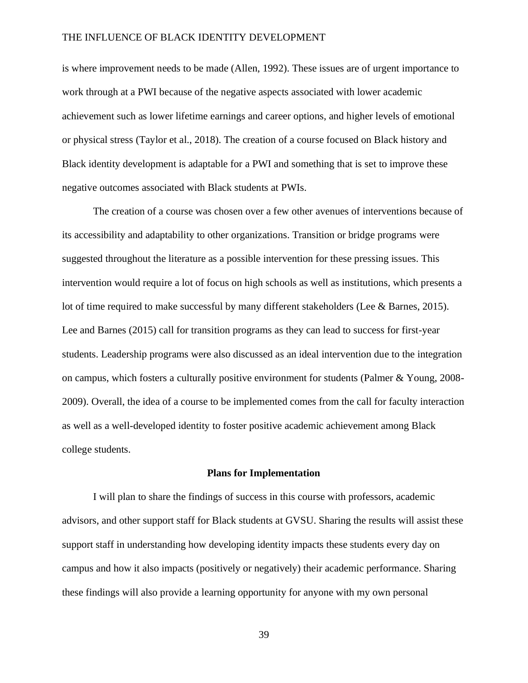is where improvement needs to be made (Allen, 1992). These issues are of urgent importance to work through at a PWI because of the negative aspects associated with lower academic achievement such as lower lifetime earnings and career options, and higher levels of emotional or physical stress (Taylor et al., 2018). The creation of a course focused on Black history and Black identity development is adaptable for a PWI and something that is set to improve these negative outcomes associated with Black students at PWIs.

The creation of a course was chosen over a few other avenues of interventions because of its accessibility and adaptability to other organizations. Transition or bridge programs were suggested throughout the literature as a possible intervention for these pressing issues. This intervention would require a lot of focus on high schools as well as institutions, which presents a lot of time required to make successful by many different stakeholders (Lee & Barnes, 2015). Lee and Barnes (2015) call for transition programs as they can lead to success for first-year students. Leadership programs were also discussed as an ideal intervention due to the integration on campus, which fosters a culturally positive environment for students (Palmer & Young, 2008- 2009). Overall, the idea of a course to be implemented comes from the call for faculty interaction as well as a well-developed identity to foster positive academic achievement among Black college students.

#### **Plans for Implementation**

<span id="page-39-0"></span>I will plan to share the findings of success in this course with professors, academic advisors, and other support staff for Black students at GVSU. Sharing the results will assist these support staff in understanding how developing identity impacts these students every day on campus and how it also impacts (positively or negatively) their academic performance. Sharing these findings will also provide a learning opportunity for anyone with my own personal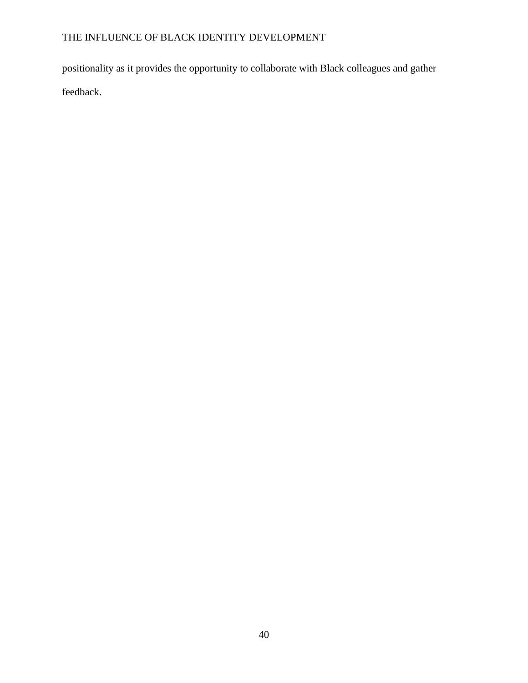positionality as it provides the opportunity to collaborate with Black colleagues and gather feedback.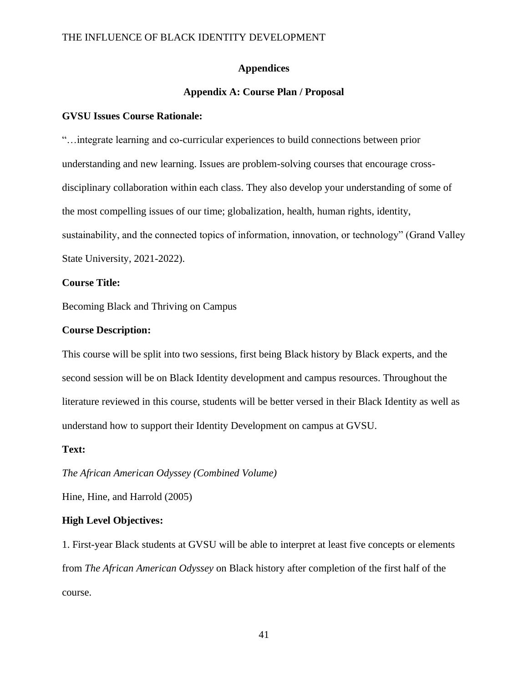#### **Appendices**

### **Appendix A: Course Plan / Proposal**

#### <span id="page-41-1"></span><span id="page-41-0"></span>**GVSU Issues Course Rationale:**

"…integrate learning and co-curricular experiences to build connections between prior understanding and new learning. Issues are problem-solving courses that encourage crossdisciplinary collaboration within each class. They also develop your understanding of some of the most compelling issues of our time; globalization, health, human rights, identity, sustainability, and the connected topics of information, innovation, or technology" (Grand Valley State University, 2021-2022).

#### **Course Title:**

Becoming Black and Thriving on Campus

#### **Course Description:**

This course will be split into two sessions, first being Black history by Black experts, and the second session will be on Black Identity development and campus resources. Throughout the literature reviewed in this course, students will be better versed in their Black Identity as well as understand how to support their Identity Development on campus at GVSU.

#### **Text:**

*The African American Odyssey (Combined Volume)*

Hine, Hine, and Harrold (2005)

#### **High Level Objectives:**

1. First-year Black students at GVSU will be able to interpret at least five concepts or elements from *The African American Odyssey* on Black history after completion of the first half of the course.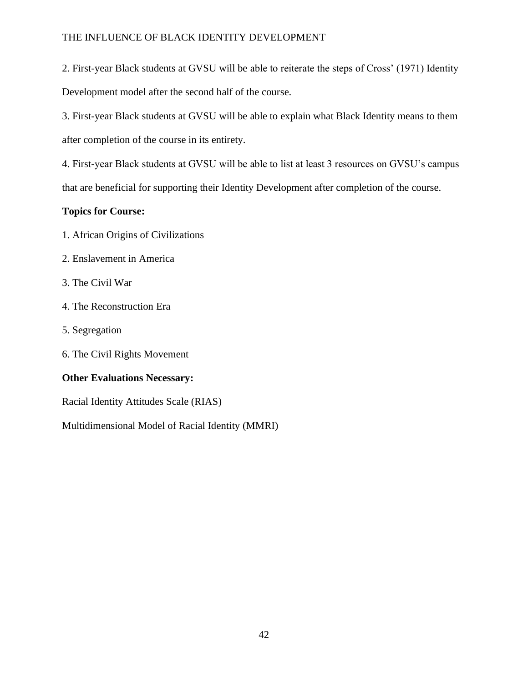2. First-year Black students at GVSU will be able to reiterate the steps of Cross' (1971) Identity Development model after the second half of the course.

3. First-year Black students at GVSU will be able to explain what Black Identity means to them after completion of the course in its entirety.

4. First-year Black students at GVSU will be able to list at least 3 resources on GVSU's campus that are beneficial for supporting their Identity Development after completion of the course.

# **Topics for Course:**

- 1. African Origins of Civilizations
- 2. Enslavement in America
- 3. The Civil War
- 4. The Reconstruction Era
- 5. Segregation
- 6. The Civil Rights Movement

# **Other Evaluations Necessary:**

Racial Identity Attitudes Scale (RIAS)

Multidimensional Model of Racial Identity (MMRI)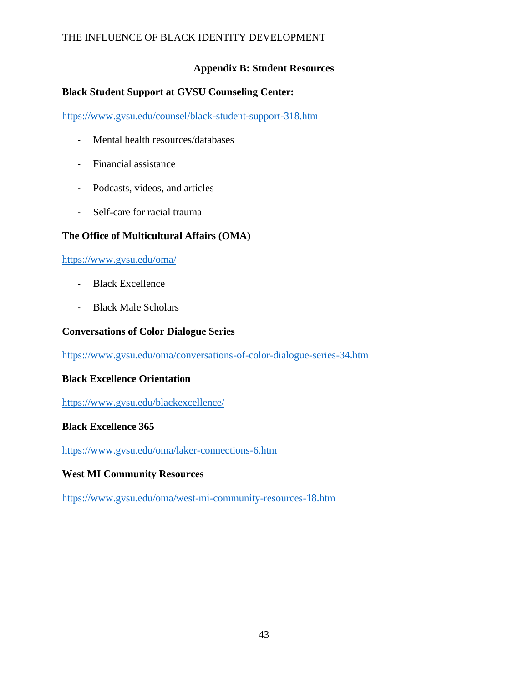# **Appendix B: Student Resources**

# <span id="page-43-0"></span>**Black Student Support at GVSU Counseling Center:**

<https://www.gvsu.edu/counsel/black-student-support-318.htm>

- Mental health resources/databases
- Financial assistance
- Podcasts, videos, and articles
- Self-care for racial trauma

# **The Office of Multicultural Affairs (OMA)**

<https://www.gvsu.edu/oma/>

- Black Excellence
- Black Male Scholars

### **Conversations of Color Dialogue Series**

<https://www.gvsu.edu/oma/conversations-of-color-dialogue-series-34.htm>

### **Black Excellence Orientation**

<https://www.gvsu.edu/blackexcellence/>

# **Black Excellence 365**

<https://www.gvsu.edu/oma/laker-connections-6.htm>

### **West MI Community Resources**

<https://www.gvsu.edu/oma/west-mi-community-resources-18.htm>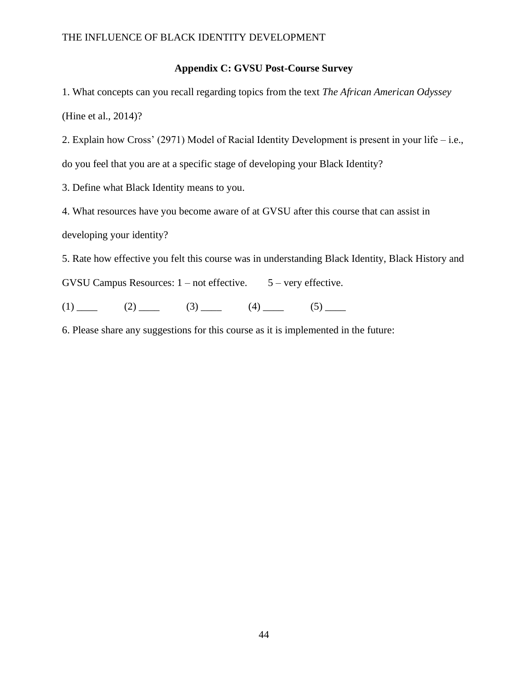### **Appendix C: GVSU Post-Course Survey**

<span id="page-44-0"></span>1. What concepts can you recall regarding topics from the text *The African American Odyssey*  (Hine et al., 2014)?

2. Explain how Cross' (2971) Model of Racial Identity Development is present in your life – i.e., do you feel that you are at a specific stage of developing your Black Identity?

3. Define what Black Identity means to you.

4. What resources have you become aware of at GVSU after this course that can assist in developing your identity?

5. Rate how effective you felt this course was in understanding Black Identity, Black History and

GVSU Campus Resources:  $1$  – not effective.  $5$  – very effective.

 $(1)$  (2) (3) (4) (4) (5)

6. Please share any suggestions for this course as it is implemented in the future: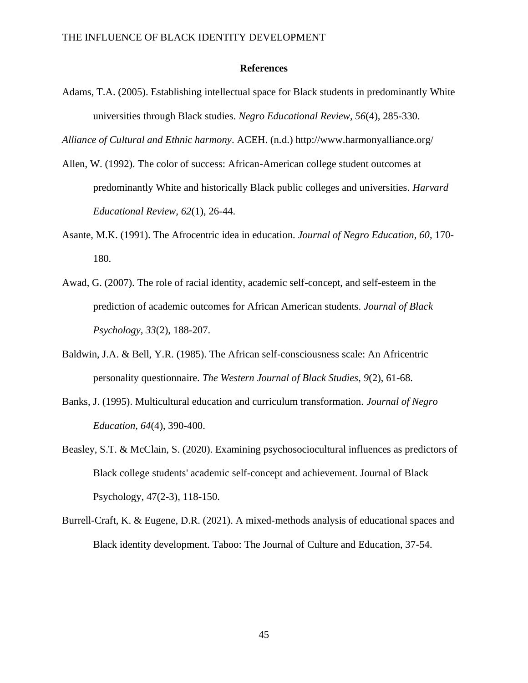#### **References**

<span id="page-45-0"></span>Adams, T.A. (2005). Establishing intellectual space for Black students in predominantly White universities through Black studies. *Negro Educational Review, 56*(4), 285-330.

*Alliance of Cultural and Ethnic harmony*. ACEH. (n.d.) http://www.harmonyalliance.org/

- Allen, W. (1992). The color of success: African-American college student outcomes at predominantly White and historically Black public colleges and universities. *Harvard Educational Review, 62*(1), 26-44.
- Asante, M.K. (1991). The Afrocentric idea in education. *Journal of Negro Education, 60*, 170- 180.
- Awad, G. (2007). The role of racial identity, academic self-concept, and self-esteem in the prediction of academic outcomes for African American students. *Journal of Black Psychology, 33*(2), 188-207.
- Baldwin, J.A. & Bell, Y.R. (1985). The African self-consciousness scale: An Africentric personality questionnaire. *The Western Journal of Black Studies, 9*(2), 61-68.
- Banks, J. (1995). Multicultural education and curriculum transformation. *Journal of Negro Education, 64*(4), 390-400.
- Beasley, S.T. & McClain, S. (2020). Examining psychosociocultural influences as predictors of Black college students' academic self-concept and achievement. Journal of Black Psychology, 47(2-3), 118-150.
- Burrell-Craft, K. & Eugene, D.R. (2021). A mixed-methods analysis of educational spaces and Black identity development. Taboo: The Journal of Culture and Education, 37-54.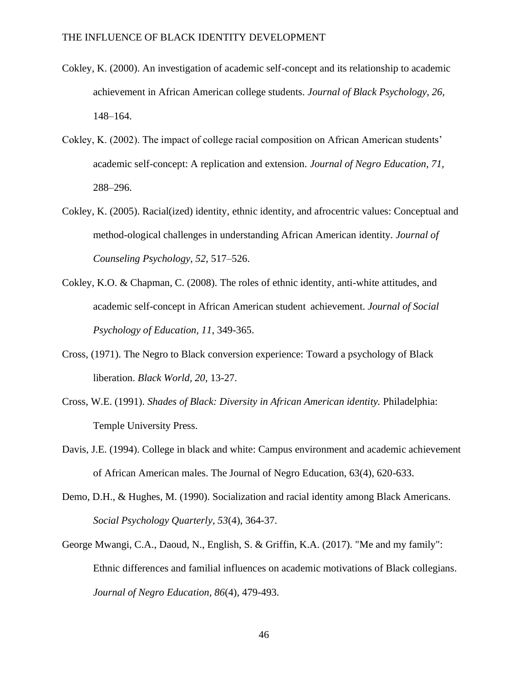- Cokley, K. (2000). An investigation of academic self-concept and its relationship to academic achievement in African American college students. *Journal of Black Psychology, 26,*  148–164.
- Cokley, K. (2002). The impact of college racial composition on African American students' academic self-concept: A replication and extension. *Journal of Negro Education, 71,* 288–296.
- Cokley, K. (2005). Racial(ized) identity, ethnic identity, and afrocentric values: Conceptual and method-ological challenges in understanding African American identity. *Journal of Counseling Psychology, 52,* 517–526.
- Cokley, K.O. & Chapman, C. (2008). The roles of ethnic identity, anti-white attitudes, and academic self-concept in African American student achievement. *Journal of Social Psychology of Education, 11*, 349-365.
- Cross, (1971). The Negro to Black conversion experience: Toward a psychology of Black liberation. *Black World, 20*, 13-27.
- Cross, W.E. (1991). *Shades of Black: Diversity in African American identity.* Philadelphia: Temple University Press.
- Davis, J.E. (1994). College in black and white: Campus environment and academic achievement of African American males. The Journal of Negro Education, 63(4), 620-633.
- Demo, D.H., & Hughes, M. (1990). Socialization and racial identity among Black Americans. *Social Psychology Quarterly, 53*(4), 364-37.
- George Mwangi, C.A., Daoud, N., English, S. & Griffin, K.A. (2017). "Me and my family": Ethnic differences and familial influences on academic motivations of Black collegians. *Journal of Negro Education, 86*(4), 479-493.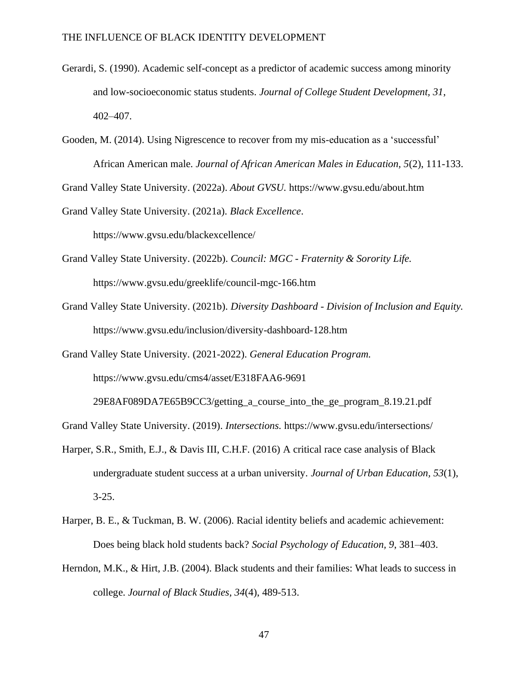- Gerardi, S. (1990). Academic self-concept as a predictor of academic success among minority and low-socioeconomic status students. *Journal of College Student Development, 31*, 402–407.
- Gooden, M. (2014). Using Nigrescence to recover from my mis-education as a 'successful' African American male. *Journal of African American Males in Education, 5*(2), 111-133.

Grand Valley State University. (2022a). *About GVSU.* https://www.gvsu.edu/about.htm

Grand Valley State University. (2021a). *Black Excellence*. https://www.gvsu.edu/blackexcellence/

Grand Valley State University. (2022b). *Council: MGC - Fraternity & Sorority Life.*  https://www.gvsu.edu/greeklife/council-mgc-166.htm

Grand Valley State University. (2021b). *Diversity Dashboard - Division of Inclusion and Equity.* https://www.gvsu.edu/inclusion/diversity-dashboard-128.htm

Grand Valley State University*.* (2021-2022). *General Education Program.*  https://www.gvsu.edu/cms4/asset/E318FAA6-9691

29E8AF089DA7E65B9CC3/getting\_a\_course\_into\_the\_ge\_program\_8.19.21.pdf

Grand Valley State University. (2019). *Intersections.* https://www.gvsu.edu/intersections/

- Harper, S.R., Smith, E.J., & Davis III, C.H.F. (2016) A critical race case analysis of Black undergraduate student success at a urban university. *Journal of Urban Education, 53*(1), 3-25.
- Harper, B. E., & Tuckman, B. W. (2006). Racial identity beliefs and academic achievement: Does being black hold students back? *Social Psychology of Education, 9*, 381–403.
- Herndon, M.K., & Hirt, J.B. (2004). Black students and their families: What leads to success in college. *Journal of Black Studies, 34*(4), 489-513.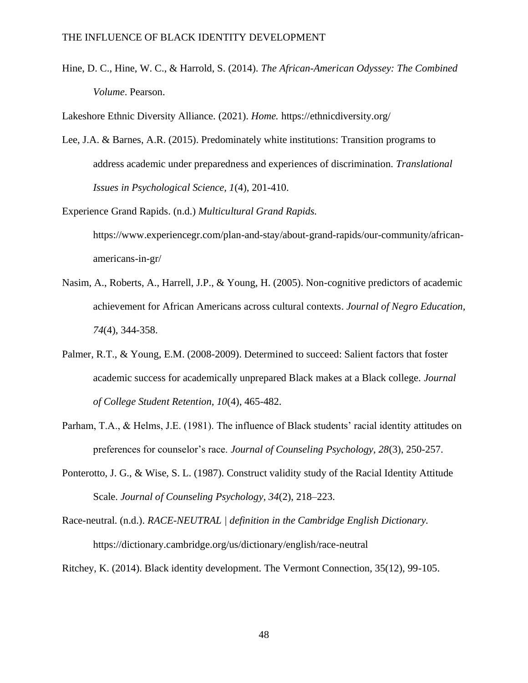Hine, D. C., Hine, W. C., & Harrold, S. (2014). *The African-American Odyssey: The Combined Volume*. Pearson.

Lakeshore Ethnic Diversity Alliance. (2021). *Home.* https://ethnicdiversity.org/

Lee, J.A. & Barnes, A.R. (2015). Predominately white institutions: Transition programs to address academic under preparedness and experiences of discrimination. *Translational Issues in Psychological Science, 1*(4), 201-410.

Experience Grand Rapids. (n.d.) *Multicultural Grand Rapids.* https://www.experiencegr.com/plan-and-stay/about-grand-rapids/our-community/africanamericans-in-gr/

- Nasim, A., Roberts, A., Harrell, J.P., & Young, H. (2005). Non-cognitive predictors of academic achievement for African Americans across cultural contexts. *Journal of Negro Education, 74*(4), 344-358.
- Palmer, R.T., & Young, E.M. (2008-2009). Determined to succeed: Salient factors that foster academic success for academically unprepared Black makes at a Black college. *Journal of College Student Retention, 10*(4), 465-482.
- Parham, T.A., & Helms, J.E. (1981). The influence of Black students' racial identity attitudes on preferences for counselor's race. *Journal of Counseling Psychology, 28*(3), 250-257.
- Ponterotto, J. G., & Wise, S. L. (1987). Construct validity study of the Racial Identity Attitude Scale. *Journal of Counseling Psychology, 34*(2), 218–223.

Race-neutral. (n.d.). *RACE-NEUTRAL | definition in the Cambridge English Dictionary.* https://dictionary.cambridge.org/us/dictionary/english/race-neutral

Ritchey, K. (2014). Black identity development. The Vermont Connection, 35(12), 99-105.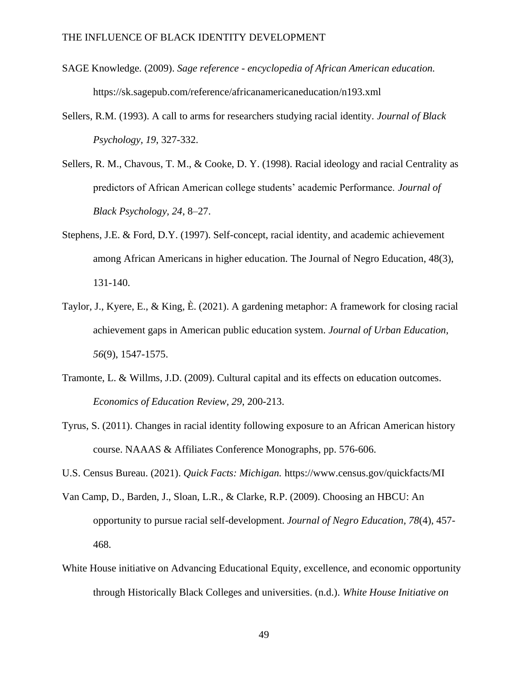- SAGE Knowledge*.* (2009). *Sage reference - encyclopedia of African American education.*  https://sk.sagepub.com/reference/africanamericaneducation/n193.xml
- Sellers, R.M. (1993). A call to arms for researchers studying racial identity. *Journal of Black Psychology, 19*, 327-332.
- Sellers, R. M., Chavous, T. M., & Cooke, D. Y. (1998). Racial ideology and racial Centrality as predictors of African American college students' academic Performance. *Journal of Black Psychology, 24*, 8–27.
- Stephens, J.E. & Ford, D.Y. (1997). Self-concept, racial identity, and academic achievement among African Americans in higher education. The Journal of Negro Education, 48(3), 131-140.
- Taylor, J., Kyere, E., & King, È. (2021). A gardening metaphor: A framework for closing racial achievement gaps in American public education system. *Journal of Urban Education, 56*(9), 1547-1575.
- Tramonte, L. & Willms, J.D. (2009). Cultural capital and its effects on education outcomes. *Economics of Education Review, 29*, 200-213.
- Tyrus, S. (2011). Changes in racial identity following exposure to an African American history course. NAAAS & Affiliates Conference Monographs, pp. 576-606.

U.S. Census Bureau. (2021). *Quick Facts: Michigan.* https://www.census.gov/quickfacts/MI

- Van Camp, D., Barden, J., Sloan, L.R., & Clarke, R.P. (2009). Choosing an HBCU: An opportunity to pursue racial self-development. *Journal of Negro Education, 78*(4), 457- 468.
- White House initiative on Advancing Educational Equity, excellence, and economic opportunity through Historically Black Colleges and universities. (n.d.). *White House Initiative on*